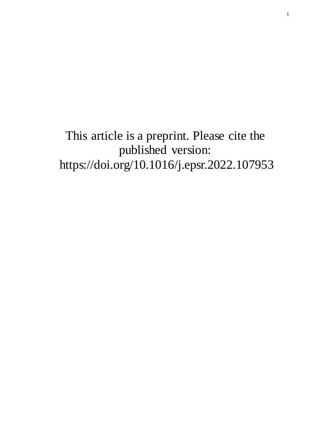# This article is a preprint. Please cite the published version: https://doi.org/10.1016/j.epsr.2022.107953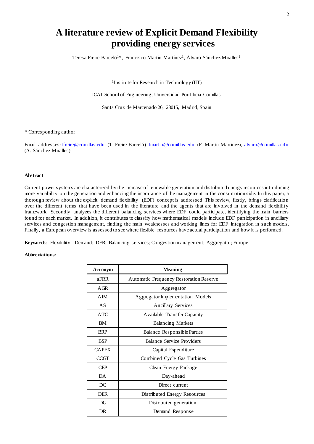# **A literature review of Explicit Demand Flexibility providing energy services**

Teresa Freire-Barceló<sup>1\*</sup>, Francisco Martín-Martínez<sup>1</sup>, Álvaro Sánchez-Miralles<sup>1</sup>

1Institute for Research in Technology (IIT)

ICAI School of Engineering, Universidad Pontificia Comillas

Santa Cruz de Marcenado 26, 28015, Madrid, Spain

#### \* Corresponding author

Email addresses[: tfreire@comillas.edu](mailto:tfreire@comillas.edu) (T. Freire-Barceló) [fmartin@comillas.edu](mailto:fmartin@comillas.edu) (F. Martín-Martínez), [alvaro@comillas.edu](mailto:alvaro@comillas.edu) (A. Sánchez-Miralles)

# **Abstract**

Current power systems are characterized by the increase of renewable generation and distributed energy resources introducing more variability on the generation and enhancing the importance of the management in the consumption side. In this paper, a thorough review about the explicit demand flexibility (EDF) concept is addressed. This review, firstly, brings clarification over the different terms that have been used in the literature and the agents that are involved in the demand flexibility framework. Secondly, analyzes the different balancing services where EDF could participate, identifying the main barriers found for each market. In addition, it contributes to classify how mathematical models include EDF participation in ancillary services and congestion management, finding the main weaknesses and working lines for EDF integration in such models. Finally, a European overview is assessed to see where flexible resources have actual participation and how it is performed.

**Keywords**: Flexibility; Demand; DER; Balancing services; Congestion management; Aggregator; Europe.

#### **Abbreviations:**

| Acronym      | <b>Meaning</b>                                 |  |  |  |
|--------------|------------------------------------------------|--|--|--|
| aFRR         | <b>Automatic Frequency Restoration Reserve</b> |  |  |  |
| AGR          | Aggregator                                     |  |  |  |
| AIM          | <b>Aggregator Implementation Models</b>        |  |  |  |
| AS           | <b>Ancillary Services</b>                      |  |  |  |
| <b>ATC</b>   | <b>Available Transfer Capacity</b>             |  |  |  |
| <b>BM</b>    | <b>Balancing Markets</b>                       |  |  |  |
| <b>BRP</b>   | Balance Responsible Parties                    |  |  |  |
| <b>BSP</b>   | Balance Service Providers                      |  |  |  |
| <b>CAPEX</b> | Capital Expenditure                            |  |  |  |
| <b>CCGT</b>  | Combined Cycle Gas Turbines                    |  |  |  |
| <b>CEP</b>   | Clean Energy Package                           |  |  |  |
| DA.          | Day-ahead                                      |  |  |  |
| DC           | Direct current                                 |  |  |  |
| <b>DER</b>   | Distributed Energy Resources                   |  |  |  |
| DG           | Distributed generation                         |  |  |  |
| DR           | Demand Response                                |  |  |  |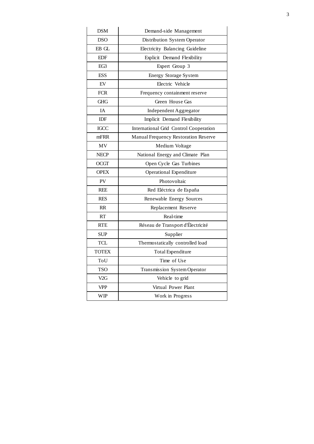| <b>DSM</b>   | Demand-side Management                 |
|--------------|----------------------------------------|
| <b>DSO</b>   | Distribution System Operator           |
| EB GL        | Electricity Balancing Guideline        |
| <b>EDF</b>   | Explicit Demand Flexibility            |
| EG3          | Expert Group 3                         |
| <b>ESS</b>   | <b>Energy Storage System</b>           |
| EV           | Electric Vehicle                       |
| <b>FCR</b>   | Frequency containment reserve          |
| <b>GHG</b>   | Green House Gas                        |
| IA           | Independent Aggregator                 |
| <b>IDF</b>   | Implicit Demand Flexibility            |
| IGCC         | International Grid Control Cooperation |
| mFRR         | Manual Frequency Restoration Reserve   |
| MV           | Medium Voltage                         |
| <b>NECP</b>  | National Energy and Climate Plan       |
| OCGT         | Open Cycle Gas Turbines                |
| <b>OPEX</b>  | <b>Operational Expenditure</b>         |
| PV           | Photovoltaic                           |
| <b>REE</b>   | Red Eléctrica de España                |
| <b>RES</b>   | Renewable Energy Sources               |
| RR           | Replacement Reserve                    |
| <b>RT</b>    | Real-time                              |
| <b>RTE</b>   | Réseau de Transport d'Électricité      |
| <b>SUP</b>   | Supplier                               |
| TCL          | Thermostatically controlled load       |
| <b>TOTEX</b> | Total Expenditure                      |
| ToU          | Time of Use                            |
| <b>TSO</b>   | Transmission System Operator           |
| V2G          | Vehicle to grid                        |
| VPP          | Virtual Power Plant                    |
| <b>WIP</b>   | Work in Progress                       |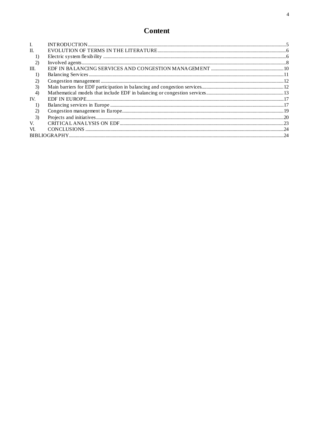| L.   |  |
|------|--|
| H.   |  |
| 1    |  |
|      |  |
| III. |  |
| 1    |  |
|      |  |
| 3)   |  |
| 4)   |  |
| IV.  |  |
|      |  |
|      |  |
| 3)   |  |
| V.   |  |
| VI.  |  |
|      |  |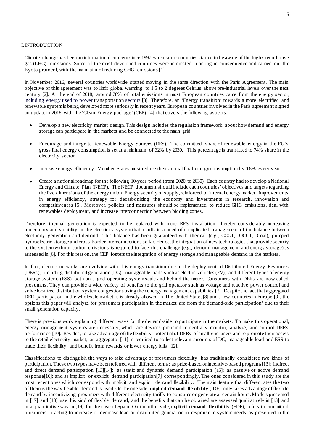#### <span id="page-4-0"></span>I.INTRODUCTION

Climate change has been an international concern since 1997 when some countries started to be aware of the high Green-house gas (GHG) emissions. Some of the most developed countries were interested in acting in consequence and carried out the Kyoto protocol, with the main aim of reducing GHG emissions [1].

In November 2016, several countries worldwide started moving in the same direction with the Paris Agreement. The main objective of this agreement was to limit global warming to 1.5 to 2 degrees Celsius above pre-industrial levels over the next century [2]. At the end of 2018, around 78% of total emissions in most European countries came from the energy sector, including energy used to power transportation sectors [3]. Therefore, an 'Energy transition' towards a more electrified and renewable system is being developed more seriously in recent years. European countries involved in the Paris agreement signed an update in 2018 with the 'Clean Energy package' (CEP) [4] that covers the following aspects:

- Develop a new electricity market design. This design includes the regulation framework about how demand and energy storage can participate in the markets and be connected to the main grid.
- Encourage and integrate Renewable Energy Sources (RES). The committed share of renewable energy in the EU's gross final energy consumption is set at a minimum of 32% by 2030. This percentage is translated to 74% share in the electricity sector.
- Increase energy efficiency. Member States must reduce their annual final energy consumption by 0.8% every year.
- Create a national roadmap for the following 10-year period (from 2020 to 2030). Each country had to develop a National Energy and Climate Plan (NECP). The NECP document should include each countries' objectives and targets regarding the five dimensions of the energy union: Energy security of supply, reinforced of internal energy market, improvements in energy efficiency, strategy for decarbonizing the economy and investments in research, innovation and competitiveness [5]. Moreover, policies and measures should be implemented to reduce GHG emissions, deal with renewables deployment, and increase interconnection between bidding zones.

Therefore, thermal generation is expected to be replaced with more RES installation, thereby considerably increasing uncertainty and volatility in the electricity system that results in a need of complicated management of the balance between electricity generation and demand. This balance has been guaranteed with thermal (e.g., CCGT, OCGT, Coal), pumped hydroelectric storage and cross-border interconnections so far. Hence, the integration of new technologies that provide security to the system without carbon emissions is required to face this challenge (e.g., demand management and energy storage) as assessed in [6]. For this reason, the CEP fosters the integration of energy storage and manageable demand in the markets.

In fact, electric networks are evolving with this energy transition due to the deployment of Distributed Energy Resources (DERs), including distributed generation (DG), manageable loads such as electric vehicles (EV), and different types of energy storage systems (ESS) both on a grid operating system scale and behind the meter. Consumers with DERs are now called prosumers. They can provide a wide variety of benefits to the grid operator such as voltage and reactive power control and solve localized distribution system congestions using their energy management capabilities [7]. Despite the fact that aggregated DER participation in the wholesale market it is already allowed in The United States[8] and a few countries in Europe [9], the options this paper will analyze for prosumers participation in the market are from the'demand-side participation' due to their small generation capacity.

There is previous work explaining different ways for the demand-side to participate in the markets. To make this operational, energy management systems are necessary, which are devices prepared to centrally monitor, analyze, and control DERs performance [10]. Besides, to take advantage ofthe flexibility potential of DERs of small end-users and to promote their access to the retail electricity market, an aggregator [11] is required to collect relevant amounts of DG, manageable load and ESS to trade their flexibility and benefit from rewards or lower energy bills [12].

Classifications to distinguish the ways to take advantage of prosumers flexibility has traditionally considered two kinds of participation. These two types have been referred with different terms; as price-based or incentive-based programs[13]; indirect and direct demand participation [13][14]; as static and dynamic demand participation [15]; as passive or active demand response[16]; and as implicit or explicit demand participation[7] correspondingly. The ones considered in this study are the most recent ones which correspond with implicit and explicit demand flexibility. The main feature that differentiates the two of them is the way flexible demand is used. On the one side, **implicit demand flexibility** (IDF) only takes advantage of flexible demand by incentivizing prosumers with different electricity tariffs to consume or generate at certain hours. Models presented in [17] and [18] use this kind of flexible demand, and the benefits that can be obtained are assessed qualitatively in [13] and in a quantitative way in [19] for the case of Spain. On the other side, **explicit demand flexibility** (EDF), refers to committed prosumers in acting to increase or decrease load or distributed generation in response to system needs, as presented in the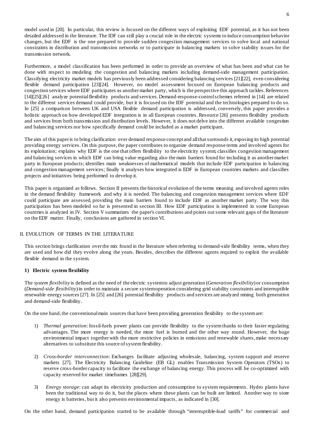model used in [20]. In particular, this review is focused on the different ways of exploiting EDF potential, as it has not been detailed addressed in the literature. The IDF can still play a crucial role in the electric systems to induce consumption behavior changes, but the EDF is the one prepared to provide sudden congestion management services to solve local and national constraints in distribution and transmission networks or to participate in balancing markets to solve stability issues for the transmission network.

Furthermore, a model classification has been performed in order to provide an overview of what has been and what can be done with respect to modeling the congestion and balancing markets including demand-side management participation. Classifying electricity market models has previously been addressed considering balancing services [21][22], even considering flexible demand participation [23][24]. However, no model assessment focused on European balancing products and congestion services where EDF participates as another market party, which is the perspective this approach tackles. References [14][25][26] analyze potential flexibility products and services. Demand-response-control schemes referred in [14] are related to the different services demand could provide, but it is focused on the IDF potential and the technologies prepared to do so. In [25] a comparison between UK and USA flexible demand participation is addressed, conversely, this paper provides a holistic approach on how developed EDF integration is in all European countries. Resource [26] presents flexibility products and services from both transmission and distribution levels. However, it does not delve into the different available congestion and balancing services nor how specifically demand could be included as a market participant.

The aim of this paper is to bring clarification over demand response concept and all that surrounds it, exposing its high potential providing energy services. On this purpose, the paper contributes to organize demand response terms and involved agents for its exploitation; explains why EDF is the one that offers flexibility to the electricity system; classifies congestion management and balancing services in which EDF can bring value regarding also the main barriers found for including it as another market party in European products; identifies main weaknesses of mathematical models that include EDF participation in balancing and congestion management services; finally it analyses how integrated is EDF in European countries markets and classifies projects and initiatives being performed to develop it.

This paper is organized as follows. Section [II](#page-5-0) presents the historical evolution of the terms meaning and involved agents roles in the demand flexibility framework and why it is needed. The balancing and congestion management services where EDF could participate are assessed, providing the main barriers found to include EDF as another market party. The way this participation has been modeled so far is presented in section [III.](#page-9-0) How EDF participation is implemented in some European countries is analyzed in [IV.](#page-16-0) Section [V](#page-22-0) summarizes the paper's contributions and points out some relevant gaps of the literature on the EDF matter. Finally, conclusions are gathered in section [VI.](#page-23-0)

# <span id="page-5-0"></span>II. EVOLUTION OF TERMS IN THE LITERATURE

This section brings clarification over the mix found in the literature when referring to demand-side flexibility terms, when they are used and how did they evolve along the years. Besides, describes the different agents required to exploit the available flexible demand in the system.

#### <span id="page-5-1"></span>**1) Electric system flexibility**

The *system flexibility* is defined as the need of the electric system to adjust generation (*Generation flexibility*) or consumption (*Demand-side flexibility*)in order to maintain a secure system operation considering grid stability constraints and interruptible renewable energy sources [27]. In [25] and [26] potential flexibility products and services are analyzed mixing both generation and demand-side flexibility.

On the one hand, the conventional main sources that have been providing generation flexibility to the systemare:

- 1) *Thermal generation*: fossil-fuels power plants can provide flexibility to the system thanks to their faster regulating advantages. The more energy is needed, the more fuel is burned and the other way round. However, the huge environmental impact together with the more restrictive policies in emissions and renewable shares, make necessary alternatives to substitute this source of system flexibility.
- 2) *Cross-border interconnection*: Exchanges facilitate adjusting wholesale, balancing, system support and reserve markets [27]. The Electricity Balancing Guideline (EB GL) enables Transmission System Operators (TSOs) to reserve cross-border capacity to facilitate the exchange of balancing energy. This process will be co-optimized with capacity reserved for market timeframes [28][29].
- 3) *Energy storage*: can adapt its electricity production and consumption to system requirements. Hydro plants have been the traditional way to do it, but the places where these plants can be built are limited. Another way to store energy is batteries, but it also presents environmental impacts, as indicated in [30].

On the other hand, demand participation started to be available through "interruptible-load tariffs" for commercial and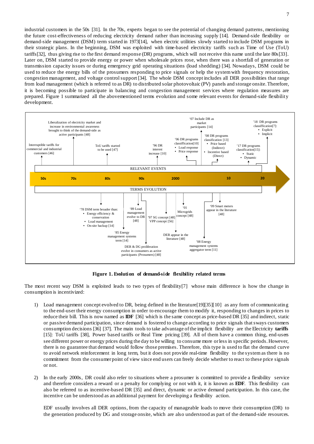industrial customers in the 50s [31]. In the 70s, experts began to see the potential of changing demand patterns, mentioning the future cost-effectiveness of reducing electricity demand rather than increasing supply [14]. Demand-side flexibility or demand-side management (DSM) term started in 1973[14], when electric utilities slowly started to include DSM programs in their strategic plans. In the beginning, DSM was exploited with time-based electricity tariffs such as Time of Use (ToU) tariffs[32], thus giving rise to the first demand response (DR) programs, which will not receive this name until the late 80s[33]. Later on, DSM started to provide energy or power when wholesale prices rose, when there was a shortfall of generation or transmission capacity issues or during emergency grid operating situations (load shedding) [34]. Nowadays, DSM could be used to reduce the energy bills of the prosumers responding to price signals or help the system with frequency restoration, congestion management, and voltage control support [34]. The whole DSM concept includes all DER possibilities that range from load management (which is referred to as DR) to distributed solar photovoltaic (PV) panels and storage onsite.Therefore, it is becoming possible to participate in balancing and congestion management services where regulation measures are prepared. [Figure 1](#page-6-0) summarized all the abovementioned terms evolution and some relevant events for demand-side flexibility development.



<span id="page-6-0"></span>**Figure 1. Evolution of demand-side flexibility related terms**

The most recent way DSM is exploited leads to two types of flexibility[7] whose main difference is how the change in consumption is incentivized:

- 1) Load management concept evolved to DR, being defined in the literature[19][35][10] as any form of communicating to the end-user their energy consumption in order to encourage them to modify it, responding to changes in prices to reduce their bill. This is now named as **IDF** [36] which is the same concept as price-based DR [35] and indirect, static or passive demand participation, since demand is fostered to change according to price signals that sways customers consumption decisions [36] [37]. The main tools to take advantage of the implicit flexibility are the Electricity **tariffs** [15]: ToU tariffs [38], Power based tariffs or Real Time pricing [39]. All of them have a common thing, end-users see different power or energy prices during the day to be willing to consume more or less in specific periods. However, there is no guarantee that demand would follow those premises. Therefore, this type is used to flat the demand curve to avoid network reinforcement in long term, but it does not provide real-time flexibility to the system as there is no commitment from the consumer point of view since end users can freely decide whether to react to these price signals or not.
- 2) In the early 2000s, DR could also refer to situations where a prosumer is committed to provide a flexibility service and therefore considers a reward or a penalty for complying or not with it, it is known as **EDF**. This flexibility can also be referred to as incentive-based DR [35] and direct, dynamic or active demand participation. In this case, the incentive can be understood as an additional payment for developing a flexibility action.

EDF usually involves all DER options, from the capacity of manageable loads to move their consumption (DR) to the generation produced by DG and storage onsite, which are also understood as part of the demand-side resources.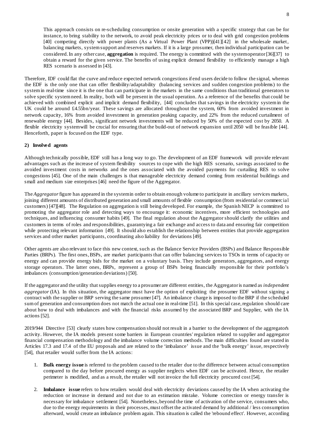This approach consists on re-scheduling consumption or onsite generation with a specific strategy that can be for instance, to bring stability to the network, to avoid peak electricity prices or to deal with grid congestion problems [40] competing directly with power plants (As a Virtual Power Plant (VPP))[41][42] in the wholesale market, balancing markets, system support and reserves markets. If it is a large prosumer, then individual participation can be considered. In any other case, **aggregation** is required. The energy is committed with the system operator [36][37] to obtain a reward for the given service. The benefits of using explicit demand flexibility to efficiently manage a high RES scenario is assessed in [43].

Therefore, IDF could flat the curve and reduce expected network congestions if end users decide to follow the signal, whereas the EDF is the only one that can offer flexibility/adaptability (balancing services and sudden congestion problems) to the systemin real-time since it is the one that can participate in the markets in the same conditions than traditional generators to solve specific system need. In reality, both will be present in the usual operation. As a reference of the benefits that could be achieved with combined explicit and implicit demand flexibility, [44] concludes that savings in the electricity system in the UK could be around £4.55bn/year. These savings are allocated throughout the system, 60% from avoided investment in network capacity, 16% from avoided investment in generation peaking capacity, and 22% from the reduced curtailment of renewable energy [44]. Besides, significant network investments will be reduced by 50% of the expected cost by 2050. A flexible electricity systemwill be crucial for ensuring that the build-out of network expansion until 2050 will be feasible [44]. Henceforth, paper is focused on the EDF type.

### <span id="page-7-0"></span>**2) Involved agents**

Although technically possible, EDF still has a long way to go. The development of an EDF framework will provide relevant advantages such as the increase of system flexibility sources to cope with the high RES scenario, savings associated to the avoided investment costs in networks and the ones associated with the avoided payments for curtailing RES to solve congestions [45]. One of the main challenges is that manageable electricity demand coming from residential buildings and small and medium size enterprises [46] need the figure of the Aggregator.

The *Aggregator* figure has appeared in the system in order to obtain enough volume to participate in ancillary services markets, joining different amounts of distributed generation and small amounts of flexible consumption (from residential or commercial customers) [47][48]. The Regulation on aggregation is still being developed. For example, the Spanish NECP is committed to promoting the aggregator role and detecting ways to encourage it: economic incentives, more efficient technologies and techniques, and influencing consumer habits [49]. The final regulation about the Aggregator should clarify the utilities and customers in terms of roles and responsibilities, guarantying a fair exchange and access to data and ensuring fair competition while protecting relevant information [49]. It should also establish the relationship between entities that provide aggregation services and other market participants, coordinating also liability for deviations [49].

Other agents are also relevant to face this new context, such as the Balance Service Providers (BSPs) and Balance Responsible Parties (BRPs). The first ones, BSPs, are market participants that can offer balancing services to TSOs in terms of capacity or energy and can provide energy bids for the market on a voluntary basis. They include generators, aggregators, and energy storage operators. The latter ones, BRPs, represent a group of BSPs being financially responsible for their portfolio's imbalances (consumption/generation deviations) [50].

If the aggregator and the utility that supplies energy to a prosumer are different entities, the Aggregator is named as *independent aggregator* (IA). In this situation, the aggregator must have the option of exploiting the prosumer EDF without signing a contract with the supplier or BRP serving the same prosumer [47]. An imbalance charge is imposed to the BRP if the scheduled sum of generation and consumption does not match the actual one in real-time [51]. In this special case, regulation should care about how to deal with imbalances and with the financial risks assumed by the associated BRP and Supplier, with the IA actions [52].

2019/944 Directive [53] clearly states how compensation should not result in a barrier to the development of the aggregator's activity. However, the IA models present some barriers in European countries' regulation related to supplier and aggregator financial compensation methodology and the imbalance volume correction methods. The main difficulties found are stated in Articles 17.3 and 17.4 of the EU proposals and are related to the 'imbalance' issue and the 'bulk energy' issue, respectively [54], that retailer would suffer from the IA actions:

- 1. **Bulk energy issue** is referred to the problem caused to the retailer due to the difference between actual consumption compared to the day before procured energy as supplier neglects when EDF can be activated. Hence, the retailer perimeter is modified, and as a result, the retailer will not invoice the full electricity procured cost [54].
- 2. **Imbalance issue** refers to how retailers would deal with electricity deviations caused by the IA when activating the reduction or increase in demand and not due to an estimation mistake. Volume correction or energy transfer is necessary for imbalance settlement [54]. Nonetheless, beyond the time of activation of the service, consumers who, due to the energy requirements in their processes, must offset the activated demand by additional / less consumption afterward, would create an imbalance problem again. This situation is called the 'rebound effect'. However, according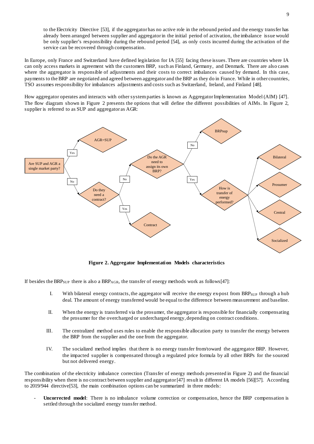to the Electricity Directive [53], if the aggregator has no active role in the rebound period and the energy transfer has already been arranged between supplier and aggregator in the initial period of activation, the imbalance issue would be only supplier's responsibility during the rebound period [54], as only costs incurred during the activation of the service can be recovered through compensation.

In Europe, only France and Switzerland have defined legislation for IA [55] facing these issues. There are countries where IA can only access markets in agreement with the customers BRP, such as Finland, Germany, and Denmark. There are also cases where the aggregator is responsible of adjustments and their costs to correct imbalances caused by demand. In this case, payments to the BRP are negotiated and agreed between aggregator and the BRP as they do in France. While in other countries, TSO assumes responsibility for imbalances adjustments and costs such as Switzerland, Ireland, and Finland [48].

How aggregator operates and interacts with other system parties is known as Aggregator Implementation Model (AIM) [47]. The flow diagram shown in [Figure 2](#page-8-0) presents the options that will define the different possibilities of AIMs. In [Figure 2,](#page-8-0) supplier is referred to as SUP and aggregator as AGR:



**Figure 2. Aggregator Implementation Models characteristics**

<span id="page-8-0"></span>If besides the BRP<sub>SUP</sub> there is also a BRP<sub>AGR</sub>, the transfer of energy methods work as follows[47]:

- I. With bilateral energy contracts, the aggregator will receive the energy ex-post from BRP<sub>SUP</sub> through a hub deal. The amount of energy transferred would be equal to the difference between measurement and baseline.
- II. When the energy is transferred via the prosumer, the aggregator is responsible for financially compensating the prosumer for the overcharged or undercharged energy, depending on contract conditions.
- III. The centralized method uses rules to enable the responsible allocation party to transfer the energy between the BRP from the supplier and the one from the aggregator.
- IV. The socialized method implies that there is no energy transfer from/toward the aggregator BRP. However, the impacted supplier is compensated through a regulated price formula by all other BRPs for the sourced but not delivered energy.

The combination of the electricity imbalance correction (Transfer of energy methods presented in [Figure 2\)](#page-8-0) and the financial responsibility when there is no contract between supplier and aggregator [47] result in different IA models [56][57]. According to 2019/944 directive[53], the main combination options can be summarized in three models:

- **Uncorrected model**: There is no imbalance volume correction or compensation, hence the BRP compensation is settled through the socialized energy transfer method.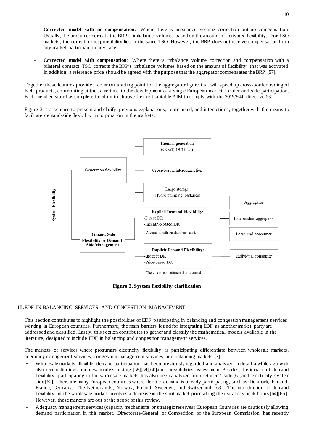- **Corrected model with no compensation**: Where there is imbalance volume correction but no compensation. Usually, the prosumer corrects the BRP's imbalance volumes based on the amount of activated flexibility. For TSO markets, the correction responsibility lies in the same TSO. However, the BRP does not receive compensation from any market participant in any case.
- **Corrected model with compensation**: Where there is imbalance volume correction and compensation with a bilateral contract. TSO corrects the BRP's imbalance volumes based on the amount of flexibility that was activated. In addition, a reference price should be agreed with the purpose that the aggregator compensates the BRP [57].

Together these features provide a common starting point for the aggregator figure that will speed up cross-border trading of EDF products, contributing at the same time to the development of a single European market for demand-side participation. Each member state has complete freedom to choose the most suitable AIM to comply with the 2019/944 directive[53].

[Figure 3](#page-9-1) is a scheme to present and clarify previous explanations, terms used, and interactions, together with the means to facilitate demand-side flexibility incorporation in the markets.



**Figure 3. System flexibility clarification**

# <span id="page-9-1"></span><span id="page-9-0"></span>III.EDF IN BALANCING SERVICES AND CONGESTION MANAGEMENT

This section contributes to highlight the possibilities of EDF participating in balancing and congestion management services working in European countries. Furthermore, the main barriers found for integrating EDF as another market party are addressed and classified. Lastly, this section contributes to gather and classify the mathematical models available in the literature, designed to include EDF in balancing and congestion management services.

The markets or services where prosumers electricity flexibility is participating differentiate between wholesale markets, adequacy management services, congestion management services, and balancing markets [7].

- Wholesale markets: flexible demand participation has been previously regarded and analyzed in detail a while ago with also recent findings and new models testing [58][59][60]and possibilities assessment. Besides, the impact of demand flexibility participating in the wholesale markets has also been analyzed from retailers' side [61]and electricity system side [62]. There are many European countries where flexible demand is already participating, such as: Denmark, Finland, France, Germany, The Netherlands, Norway, Poland, Sweeden, and Switzerland [63]. The introduction of demand flexibility in the wholesale market involves a decrease in the spot market price along the usual day peak hours [64][65]. However, these markets are out of the scope of this review.
- Adequacy management services (capacity mechanisms or strategic reserves): European Countries are cautiously allowing demand participation in this market. Directorate-General of Competition of the European Commission has recently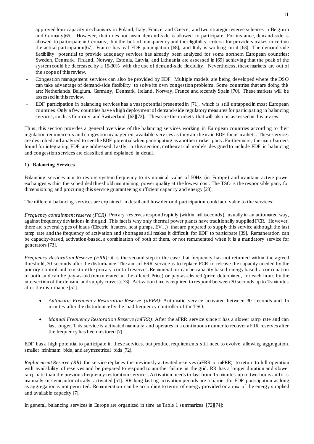approved four capacity mechanisms in Poland, Italy, France, and Greece, and two strategic reserve schemes in Belgium and Germany[66]. However, that does not mean demand-side is allowed to participate. For instance, demand-side is allowed to participate in Germany, but the lack of transparency and the eligibility criteria for providers makes uncertain the actual participation[67]. France has real EDF participation [68], and Italy is working on it [63]. The demand-side flexibility potential to provide adequacy services has already been analyzed for some northern European countries: Sweden, Denmark, Finland, Norway, Estonia, Latvia, and Lithuania are assessed in [69] achieving that the peak of the system could be decreased by a 15-30% with the use of demand-side flexibility. Nevertheless, these markets are out of the scope of this review.

- Congestion management services can also be provided by EDF. Multiple models are being developed where the DSO can take advantage of demand-side flexibility to solve its own congestion problems. Some countries that are doing this are: Netherlands, Belgium, Germany, Denmark, Ireland, Norway, France and recently Spain [70]. These markets will be assessed in this review.
- EDF participation in balancing services has a vast potential presented in [71], which is still untapped in most European countries. Only a few countries have a high deployment of demand-side regulatory measures for participating in balancing services, such as Germany and Switzerland [63][72]. These are the markets that will also be assessed in this review.

Thus, this section provides a general overview of the balancing services working in European countries according to their regulation requirements and congestion management available services as they are the main EDF focus markets. These services are described and analyzed to see the EDF potential when participating as another market party. Furthermore, the main barriers found for integrating EDF are addressed. Lastly, in this section, mathematical models designed to include EDF in balancing and congestion services are classified and explained in detail.

# <span id="page-10-0"></span>**1) Balancing Services**

Balancing services aim to restore system frequency to its nominal value of 50Hz (in Europe) and maintain active power exchanges within the scheduled threshold maintaining power quality at the lowest cost. The TSO is the responsible party for dimensioning and procuring this service guaranteeing sufficient capacity and energy [28].

The different balancing services are explained in detail and how demand participation could add value to the services:

*Frequency containment reserve (FCR)*: Primary reserves respond rapidly (within milliseconds), usually in an automated way, against frequency deviations in the grid. This fact is why only thermal power plants have traditionally supplied FCR. However, there are several types of loads (Electric heaters, heat pumps, EV…) that are prepared to supply this service although the fast ramp rate and the frequency of activation and shortages still makes it difficult for EDF to participate [39]. Remuneration can be capacity-based, activation-based, a combination of both of them, or not remunerated when it is a mandatory service for generators [73].

*Frequency Restoration Reserve (FRR)*: it is the second step in the case that frequency has not returned within the agreed threshold, 30 seconds after the disturbance. The aim of FRR service is to replace FCR to release the capacity needed by the primary control and to restore the primary control reserves. Remuneration can be capacity based, energy based, a combination of both, and can be pay-as-bid (remunerated at the offered Price) or pay-as-cleared (price determined, for each hour, by the intersection of the demand and supply curves) [73]. Activation time is required to respond between 30 seconds up to 15 minutes after the disturbance [51].

- *Automatic Frequency Restoration Reserve (aFRR)*: Automatic service activated between 30 seconds and 15 minutes after the disturbance by the load frequency controller of the TSO.
- *Manual Frequency Restoration Reserve (mFRR)*: After the aFRR service since it has a slower ramp rate and can last longer. This service is activated manually and operates in a continuous manner to recover aFRR reserves after the frequency has been restored [7].

EDF has a high potential to participate in these services, but product requirements still need to evolve, allowing aggregation, smaller minimum bids, and asymmetrical bids [72].

*Replacement Reserve (RR)*: the service replaces the previously activated reserves (aFRR or mFRR) to return to full operation with availability of reserves and be prepared to respond to another failure in the grid. RR has a longer duration and slower ramp rate than the previous frequency restoration services. Activation needs to last from 15 minutes up to two hours and it is manually or semi-automatically activated [51]. RR long-lasting activation periods are a barrier for EDF participation as long as aggregation is not permitted. Remuneration can be according to terms of energy provided or a mix of the energy supplied and available capacity [7].

In general, balancing services in Europe are organized in time as [Table 1](#page-11-2) summarizes [72][74]: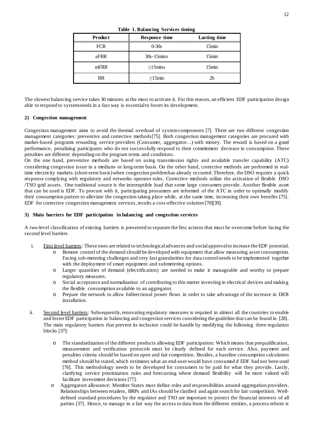<span id="page-11-2"></span>

| <b>Product</b> | Response time           | Lasting time      |
|----------------|-------------------------|-------------------|
| <b>FCR</b>     | $0 - 30s$               | 15min             |
| aFRR           | $30s-15mins$            | 15 <sub>min</sub> |
| mFRR           | $\leq$ 15 $\text{mins}$ | 15 <sub>min</sub> |
| RR             | $>15$ min               | 2 <sub>h</sub>    |

**Table 1. Balancing Services timing**

The slowest balancing service takes 30 minutes at the most to activate it. For this reason, an efficient EDF participation design able to respond to system needs in a fast way is essential to foster its development.

#### <span id="page-11-0"></span>**2) Congestion management**

Congestion management aims to avoid the thermal overload of system components [7]. There are two different congestion management categories: preventive and corrective methods[75]. Both congestion management categories are procured with market-based programs rewarding service providers (Consumer, aggregator…) with money. The reward is based on a good performance, penalizing participants who do not successfully respond to their commitment decrease in consumption. These penalties are different depending on the program terms and conditions.

On the one hand, preventive methods are based on using transmission rights and available transfer capability (ATC) considering congestion issue in a medium- or long-term basis. On the other hand, corrective methods are performed in realtime electricity markets (short-term basis) when congestion problem has already occurred. Therefore, the DSO requires a quick response complying with regulatory and networks operator rules. Corrective methods utilize the activation of flexible DSO /TSO grid assets. One traditional source is the interruptible load that some large consumers provide. Another flexible asset that can be used is EDF. To procure with it, participating prosumers are informed of the ATC in order to optimally modify their consumption pattern to alleviate the congestion taking place while, at the same time, increasing their own benefits [75]. EDF for corrective congestion management services, results a cost-effective solution [70][39].

#### <span id="page-11-1"></span>**3) Main barriers for EDF participation in balancing and congestion services**

A two-level classification of existing barriers is presented to separate the first actions that must be overcome before facing the second level barriers

- i. First level barriers: These ones are related to technological advances and social approval to increase the EDF potential.
	- o Remote control of the demand should be developed with equipment that allow measuring asset consumption. Facing sub-metering challenges and very fast granularities for data control needs to be implemented together with the deployment of smart equipment and submetering options.
	- o Larger quantities of demand (electrification) are needed to make it manageable and worthy to prepare regulatory measures.
	- o Social acceptance and normalization of contributing to this matter investing in electrical devices and making the flexible consumption available to an aggregator.
	- o Prepare the network to allow bidirectional power flows in order to take advantage of the increase in DER installation.
- ii. Second level barriers: Subsequently, renovating regulatory measures is required in almost all the countries to enable and foster EDF participation in balancing and congestion services considering the guideline that can be found in [28]. The main regulatory barriers that prevent its inclusion could be handle by modifying the following three regulation blocks [37]:
	- o The standardization of the different products allowing EDF participation: Which means that prequalification, measurement and verification protocols must be clearly defined for each service. Also, payment and penalties criteria should be based on open and fair competition. Besides, a baseline consumption calculation method should be stated, which estimates what an end-user would have consumed if EDF had not been used [76]. This methodology needs to be developed for consumers to be paid for what they provide. Lastly, clarifying service prioritization rules and forecasting where demand flexibility will be more valued will facilitate investment decisions [77].
	- o Aggregators allowance: Member States must define roles and responsibilities around aggregation providers. Relationships between retailers, BRPs and IAs should be clarified and again search for fair competition. Welldefined standard procedures by the regulator and TSO are important to protect the financial interests of all parties [37]. Hence, to manage in a fair way the access to data from the different entities, a process reform is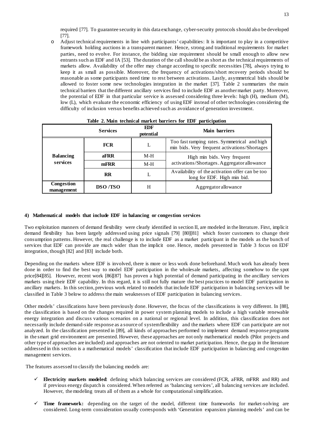required [77]. To guarantee security in this data exchange, cyber-security protocols should also be developed [77].

o Adjust technical requirements in line with participants' capabilities: It is important to play in a competitive framework holding auctions in a transparent manner. Hence, strong and traditional requirements for market parties, need to evolve. For instance, the bidding size requirement should be small enough to allow new entrants such as EDF and IA [53]. The duration of the call should be as short as the technical requirements of markets allow. Availability of the offer may change according to specific necessities [78], always trying to keep it as small as possible. Moreover, the frequency of activations/short recovery periods should be reasonable as some participants need time to rest between activations. Lastly, asymmetrical bids should be allowed to foster some new technologies integration in the market [37]. [Table 2](#page-12-1) summarizes the main technical barriers that the different ancillary services find to include EDF as another market party. Moreover, the potential of EDF in that particular service is assessed considering three levels: high (H), medium (M), low (L), which evaluate the economic efficiency of using EDF instead of other technologies considering the difficulty of inclusion versus benefits achieved such as avoidance of generation investment.

<span id="page-12-1"></span>

|                              | <b>Services</b> | EDF<br>potential | Main barriers                                                                                 |  |
|------------------------------|-----------------|------------------|-----------------------------------------------------------------------------------------------|--|
|                              | <b>FCR</b>      | L                | Too fast ramping rates. Symmetrical and high<br>min bids. Very frequent activations/Shortages |  |
| <b>Balancing</b><br>services | aFRR            | $M-H$            | High min bids. Very frequent                                                                  |  |
|                              | mFRR            | $M-H$            | activations/Shortages. Aggregator allowance                                                   |  |
|                              | <b>RR</b>       | L                | Availability of the activation offer can be too<br>long for EDF. High min bid.                |  |
| Congestion<br>management     | <b>DSO</b> /TSO | H                | Aggregator allowance                                                                          |  |

#### **Table 2. Main technical market barriers for EDF participation**

#### <span id="page-12-0"></span>**4) Mathematical models that include EDF in balancing or congestion services**

Two exploitation manners of demand flexibility were clearly identified in section [II,](#page-5-0) are modeled in the literature. First, implicit demand flexibility has been largely addressed using price signals [79] [80][81] which foster customers to change their consumption patterns. However, the real challenge is to include EDF as a market participant in the models as the bunch of services that EDF can provide are much wider than the implicit one. Hence, models presented in [Table 3](#page-14-0) focus on EDF integration, though [82] and [83] include both.

Depending on the markets where EDF is involved, there is more or less work done beforehand. Much work has already been done in order to find the best way to model EDF participation in the wholesale markets, affecting somehow to the spot price[84][85]. However, recent work [86][87] has proven a high potential of demand participating in the ancillary services markets using their EDF capability. In this regard, it is still not fully mature the best practices to model EDF participation in ancillary markets. In this section, previous work related to models that include EDF participation in balancing services will be classified in [Table 3](#page-14-0) below to address the main weaknesses of EDF participation in balancing services.

Other models' classifications have been previously done. However, the focus of the classifications is very different. In [88], the classification is based on the changes required in power system planning models to include a high variable renewable energy integration and discuss various scenarios on a national or regional level. In addition, this classification does not necessarily include demand-side response as a source of system flexibility and the markets where EDF can participate are not analyzed. In the classification presented in [89], all kinds of approaches performed to implement demand response programs in the smart grid environment are presented. However, these approaches are not only mathematical models (Pilot projects and other type of approaches are included) and approaches are not oriented to market participation. Hence, the gap in the literature addressed in this section is a mathematical models' classification that include EDF participation in balancing and congestion management services.

The features assessed to classify the balancing models are:

- **Electricity markets modeled**: defining which balancing services are considered (FCR, aFRR, mFRR and RR) and if previous energy dispatch is considered. When referred as 'balancing services', all balancing services are included. However, the modeling treats all of them as a whole for computational simplification.
- **Time framework:** depending on the target of the model, different time frameworks for market-solving are considered. Long-term consideration usually corresponds with 'Generation expansion planning models' and can be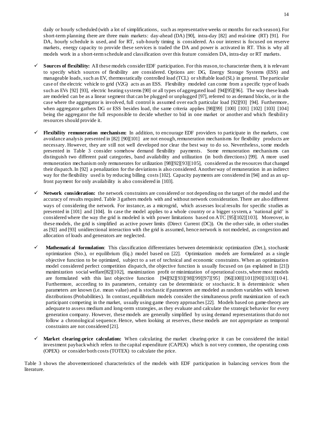daily or hourly scheduled (with a lot of simplifications, such as representative weeks or months for each season). For short-term planning there are three main markets: day-ahead (DA) [90], intra-day [82] and real-time (RT) [91]. For DA, hourly schedule is used, and for RT, sub-hourly timing is considered. As our interest is focused on reserve markets, energy capacity to provide these services is traded the DA and power is activated in RT. This is why all models work in a short-term schedule and classification over this feature considers DA, intra-day or RT markets.

- $\checkmark$  Sources of flexibility: All these models consider EDF participation. For this reason, to characterize them, it is relevant to specify which sources of flexibility are considered. Options are: DG, Energy Storage Systems (ESS) and manageable loads, such as EV, thermostatically controlled load (TCL) or shiftable load (SL) in general. The particular case of the electric vehicle to grid (V2G) acts as an ESS. Flexibility modeled can come from a specific type of loads such as EVs [92] [93], electric heating systems [90] or all types of aggregated load [94][95][96]. The way these loads are modeled can be as a linear segment that can be plugged or unplugged [97], referred to as demand blocks, or in the case where the aggregator is involved, full control is assumed over each particular load [92][93] [94]. Furthermore, when aggregator gathers DG or ESS besides load, the same criteria applies [98][99] [100] [101] [102] [103] [104] being the aggregator the full responsible to decide whether to bid in one market or another and which flexibility resources should provide it.
- **Flexibility remuneration mechanism:** In addition, to encourage EDF providers to participate in the markets, cost avoidance analysis presented in [82] [90][101] are not enough, remuneration mechanisms for flexibility products are necessary. However, they are still not well developed nor clear the best way to do so. Nevertheless, some models presented in [Table 3](#page-14-0) consider somehow demand flexibility payments. Some remuneration mechanisms can distinguish two different paid categories, band availability and utilization (in both directions) [99]. A more used remuneration mechanism only remunerates for utilization [98][92][93][105], considered as the resources that changed their dispatch. In [92] a penalization for the deviations is also considered. Another way of remuneration in an indirect way for the flexibility used is by reducing billing costs [102]. Capacity payments are considered in [94] and as an upfront payment for only availability is also considered in [103].
- **Network consideration:** the network constraints are considered or not depending on the target of the model and the accuracy of results required[. Table 3](#page-14-0) gathers models with and without network consideration. There are also different ways of considering the network. For instance, as a microgrid, which assesses local results for specific studies as presented in [101] and [104]. In case the model applies to a whole country or a bigger system, a 'national grid' is considered where the way the grid is modeled is with power limitations based on ATC [95][102][103]. Moreover, in these models, the grid is simplified as active power limits (Direct Current (DC)). On the other side, in other studies as [92] and [93] unidirectional interaction with the grid is assumed, hence network is not modeled, as congestion and allocation of loads and generators are neglected.
- **Mathematical formulation**: This classification differentiates between deterministic optimization (Det.), stochastic optimization (Sto.), or equilibrium (Eq.) model based on [22]. Optimization models are formulated as a single objective function to be optimized, subject to a set of technical and economic constraints. When an optimization model considered perfect competition dispatch, the objective function is usually focused on (as explained in [21]) maximization social welfare[82][102], maximization profit or minimization of operational costs, where most models are formulated with this last objective function [94][92][93][98][99][97][95] [96][100][101][90][103][104]. Furthermore, according to its parameters, certainty can be deterministic or stochastic. It is deterministic when parameters are known (i.e. mean value) and is stochastic if parameters are modeled as random variables with known distributions (Probabilities). In contrast, equilibrium models consider the simultaneous profit maximization of each participant competing in the market, usually using game theory approaches [22]. Models based on game-theory are adequate to assess medium and long-term strategies, as they evaluate and calculate the strategic behavior for every generation company. However, these models are generally simplified by using demand representations that do not follow a chronological sequence. Hence, when looking at reserves, these models are not appropriate as temporal constraints are not considered [21].
- **Market clearing-price calculation:** When calculating the market clearing-price it can be considered the initial investment payback which refers to the capital expenditure (CAPEX) which is not very common, the operating costs (OPEX) or consider both costs (TOTEX) to calculate the price.

[Table 3](#page-14-0) shows the abovementioned characteristics of the models with EDF participation in balancing services from the literature.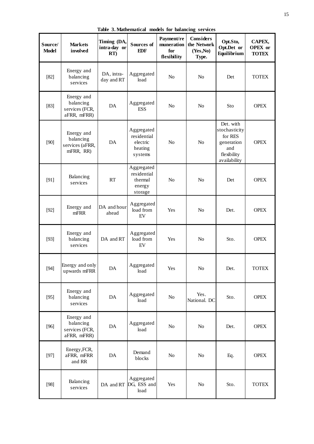<span id="page-14-0"></span>

| Source/<br><b>Model</b> | <b>Markets</b><br>involved                               | Timing (DA,<br>intra-day or<br>RT | Sources of<br><b>EDF</b>                                    | Payment/re<br>muneration<br>for<br>flexibility | <b>Considers</b><br>the Network<br>(Yes, No)<br>Type. | Opt.Sto,<br>Opt.Det or<br>Equilibrium                                                     | CAPEX,<br><b>OPEX</b> or<br><b>TOTEX</b> |
|-------------------------|----------------------------------------------------------|-----------------------------------|-------------------------------------------------------------|------------------------------------------------|-------------------------------------------------------|-------------------------------------------------------------------------------------------|------------------------------------------|
| $[82]$                  | Energy and<br>balancing<br>services                      | DA, intra-<br>day and RT          | Aggregated<br>load                                          | N <sub>o</sub>                                 | N <sub>o</sub>                                        | Det                                                                                       | <b>TOTEX</b>                             |
| $[83]$                  | Energy and<br>balancing<br>services (FCR,<br>aFRR, mFRR) | DA                                | Aggregated<br><b>ESS</b>                                    | N <sub>o</sub>                                 | No                                                    | Sto                                                                                       | <b>OPEX</b>                              |
| $[90]$                  | Energy and<br>balancing<br>services (aFRR,<br>mFRR, RR)  | DA                                | Aggregated<br>residential<br>electric<br>heating<br>systems | N <sub>o</sub>                                 | N <sub>o</sub>                                        | Det. with<br>stochasticity<br>for RES<br>generation<br>and<br>flexibility<br>availability | <b>OPEX</b>                              |
| [91]                    | Balancing<br>services                                    | RT                                | Aggregated<br>residential<br>thermal<br>energy<br>storage   | No                                             | No                                                    | Det                                                                                       | <b>OPEX</b>                              |
| $[92]$                  | Energy and<br>mFRR                                       | DA and hour<br>ahead              | Aggregated<br>load from<br>EV                               | Yes                                            | No                                                    | Det.                                                                                      | <b>OPEX</b>                              |
| $[93]$                  | Energy and<br>balancing<br>services                      | DA and RT                         | Aggregated<br>load from<br>${\rm EV}$                       | Yes                                            | No                                                    | Sto.                                                                                      | <b>OPEX</b>                              |
| $[94]$                  | Energy and only<br>upwards mFRR                          | DA                                | Aggregated<br>load                                          | Yes                                            | No                                                    | Det.                                                                                      | <b>TOTEX</b>                             |
| $[95]$                  | Energy and<br>balancing<br>services                      | DA                                | Aggregated<br>load                                          | N <sub>o</sub>                                 | Yes.<br>National. DC                                  | Sto.                                                                                      | <b>OPEX</b>                              |
| $[96]$                  | Energy and<br>balancing<br>services (FCR,<br>aFRR, mFRR) | DA                                | Aggregated<br>load                                          | No                                             | No                                                    | Det.                                                                                      | <b>OPEX</b>                              |
| $[97]$                  | Energy, FCR,<br>aFRR, mFRR<br>and RR                     | DA                                | Demand<br>blocks                                            | $\rm No$                                       | No                                                    | Eq.                                                                                       | <b>OPEX</b>                              |
| $[98]$                  | Balancing<br>services                                    | DA and RT                         | Aggregated<br>DG, ESS and<br>load                           | Yes                                            | No                                                    | Sto.                                                                                      | <b>TOTEX</b>                             |

**Table 3. Mathematical models for balancing services**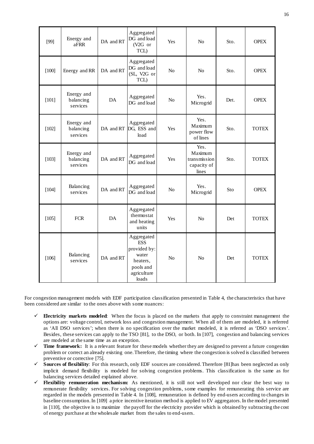| [99]    | Energy and<br>aFRR                  | DA and RT | Aggregated<br>DG and load<br>(V2G or<br>TCL)                                                       | Yes            | N <sub>o</sub>                                          | Sto. | <b>OPEX</b>  |
|---------|-------------------------------------|-----------|----------------------------------------------------------------------------------------------------|----------------|---------------------------------------------------------|------|--------------|
| $[100]$ | Energy and RR                       | DA and RT | Aggregated<br>DG and load<br>(SL, V2G or<br>TCL)                                                   | No             | No                                                      | Sto. | <b>OPEX</b>  |
| $[101]$ | Energy and<br>balancing<br>services | DA        | Aggregated<br>DG and load                                                                          | No             | Yes.<br>Microgrid                                       | Det. | <b>OPEX</b>  |
| $[102]$ | Energy and<br>balancing<br>services |           | Aggregated<br>DA and RT DG, ESS and<br>load                                                        | Yes            | Yes.<br>Maximum<br>power flow<br>of lines               | Sto. | <b>TOTEX</b> |
| [103]   | Energy and<br>balancing<br>services | DA and RT | Aggregated<br>DG and load                                                                          | Yes            | Yes.<br>Maximum<br>transmission<br>capacity of<br>lines | Sto. | <b>TOTEX</b> |
| [104]   | Balancing<br>services               | DA and RT | Aggregated<br>DG and load                                                                          | N <sub>0</sub> | Yes.<br>Microgrid                                       | Sto  | <b>OPEX</b>  |
| $[105]$ | <b>FCR</b>                          | DA        | Aggregated<br>thermostat<br>and heating<br>units                                                   | Yes            | N <sub>o</sub>                                          | Det  | <b>TOTEX</b> |
| $[106]$ | Balancing<br>services               | DA and RT | Aggregated<br><b>ESS</b><br>provided by:<br>water<br>heaters,<br>pools and<br>agriculture<br>loads | N <sub>o</sub> | N <sub>o</sub>                                          | Det  | <b>TOTEX</b> |

For congestion management models with EDF participation classification presented in [Table 4,](#page-16-2) the characteristics that have been considered are similar to the ones above with some nuances:

- **Electricity markets modeled**: When the focus is placed on the markets that apply to constraint management the options are: voltage control, network loss and congestion management. When all of them are modeled, it is referred as 'All DSO services'; when there is no specification over the market modeled, it is referred as 'DSO services'. Besides, these services can apply to the TSO [81], to the DSO, or both. In [107], congestion and balancing services are modeled at the same time as an exception.
- **Time framework:** It is a relevant feature for these models whether they are designed to prevent a future congestion problem or correct an already existing one. Therefore, the timing where the congestion is solved is classified between preventive or corrective [75].
- **Sources of flexibility**: For this research, only EDF sources are considered. Therefore [81]has been neglected as only implicit demand flexibility is modeled for solving congestion problems. This classification is the same as for balancing services detailed explained above.
- **Flexibility remuneration mechanism:** As mentioned, it is still not well developed nor clear the best way to remunerate flexibility services. For solving congestion problems, some examples for remunerating this service are regarded in the models presented in [Table 4.](#page-16-2) In [108], remuneration is defined by end-users according to changes in baseline consumption. In [109] a price incentive iteration method is applied to EV aggregators. In the model presented in [110], the objective is to maximize the payoff for the electricity provider which is obtained by subtracting the cost of energy purchase at the wholesale market from the sales to end-users.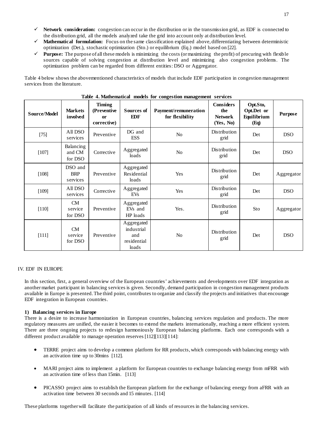- **Network consideration:** congestion can occur in the distribution or in the transmission grid, as EDF is connected to the distribution grid, all the models analyzed take the grid into account only at distribution level.
- **Mathematical formulation:** Focus on the same classification explained above, differentiating between deterministic optimization (Det.), stochastic optimization (Sto.) or equilibrium (Eq.) model based on [22].
- **Purpose:** The purpose of all these models is minimizing the costs (or maximizing the profit) of procuring with flexible sources capable of solving congestion at distribution level and minimizing also congestion problems. The optimization problem can be regarded from different entities: DSO or Aggregator.

[Table 4](#page-16-2) below shows the abovementioned characteristics of models that include EDF participation in congestion management services from the literature.

<span id="page-16-2"></span>

| Source/Model | <b>Markets</b><br>involved        | <b>Timing</b><br>(Preventive<br><sub>or</sub><br>corrective) | Sources of<br>EDF                                       | Payment/remuneration<br>for flexibility | <b>Considers</b><br>the<br><b>Network</b><br>(Yes, No) | Opt.Sto,<br>Opt.Det or<br>Equilibrium<br>(Eq) | <b>Purpose</b> |
|--------------|-----------------------------------|--------------------------------------------------------------|---------------------------------------------------------|-----------------------------------------|--------------------------------------------------------|-----------------------------------------------|----------------|
| $[75]$       | All DSO<br>services               | Preventive                                                   | DG and<br><b>ESS</b>                                    | N <sub>o</sub>                          | Distribution<br>grid                                   | Det                                           | <b>DSO</b>     |
| $[107]$      | Balancing<br>and CM<br>for DSO    | Corrective                                                   | Aggregated<br>loads                                     | N <sub>o</sub>                          | Distribution<br>grid                                   | Det                                           | <b>DSO</b>     |
| $[108]$      | DSO and<br><b>BRP</b><br>services | Preventive                                                   | Aggregated<br>Residential<br>loads                      | Yes                                     | Distribution<br>grid                                   | Det                                           | Aggregator     |
| $[109]$      | All DSO<br>services               | Corrective                                                   | Aggregated<br><b>EVs</b>                                | Yes                                     | Distribution<br>grid                                   | Det                                           | <b>DSO</b>     |
| $[110]$      | CM<br>service<br>for DSO          | Preventive                                                   | Aggregated<br>EV <sub>s</sub> and<br>HP loads           | Yes.                                    | Distribution<br>grid                                   | Sto                                           | Aggregator     |
| $[111]$      | <b>CM</b><br>service<br>for DSO   | Preventive                                                   | Aggregated<br>industrial<br>and<br>residential<br>loads | N <sub>o</sub>                          | Distribution<br>grid                                   | Det                                           | <b>DSO</b>     |

**Table 4. Mathematical models for congestion management services**

# <span id="page-16-0"></span>IV. EDF IN EUROPE

In this section, first, a general overview of the European countries' achievements and developments over EDF integration as another market participant in balancing services is given. Secondly, demand participation in congestion management products available in Europe is presented. The third point, contributes to organize and classify the projects and initiatives that encourage EDF integration in European countries.

#### <span id="page-16-1"></span>**1) Balancing services in Europe**

There is a desire to increase harmonization in European countries, balancing services regulation and products. The more regulatory measures are unified, the easier it becomes to extend the markets internationally, reaching a more efficient system. There are three ongoing projects to redesign harmoniously European balancing platforms. Each one corresponds with a different product available to manage operation reserves [112][113][114]:

- TERRE project aims to develop a common platform for RR products, which corresponds with balancing energy with an activation time up to 30mins [112].
- MARI project aims to implement a platform for European countries to exchange balancing energy from mFRR with an activation time of less than 15min. [113]
- PICASSO project aims to establish the European platform for the exchange of balancing energy from aFRR with an activation time between 30 seconds and 15 minutes. [114]

These platforms together will facilitate the participation of all kinds of resources in the balancing services.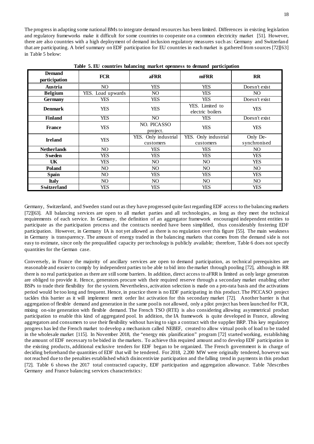The progress in adapting some national BMs to integrate demand resources has been limited. Differences in existing legislation and regulatory frameworks make it difficult for some countries to cooperate on a common electricity market [51]. However, there are also countries with a high deployment of demand inclusion regulatory measures such as: Germany and Switzerland that are participating. A brief summary on EDF participation for EU countries in each market is gathered from sources [72][63] in [Table 5](#page-17-0) below:

<span id="page-17-0"></span>

| <b>Demand</b><br>participation | <b>FCR</b>        | aFRR                                 | mFRR                                | $\mathbf{R}$             |
|--------------------------------|-------------------|--------------------------------------|-------------------------------------|--------------------------|
| Austria                        | NO                | <b>YES</b>                           | YES                                 | Doesn't exist            |
| <b>Belgium</b>                 | YES. Load upwards | NO.                                  | <b>YES</b>                          | NO                       |
| <b>Germany</b>                 | YES               | <b>YES</b>                           | <b>YES</b>                          | Doesn't exist            |
| <b>Denmark</b>                 | <b>YES</b>        | <b>YES</b>                           | YES. Limited to<br>electric boilers | YES.                     |
| <b>Finland</b>                 | <b>YES</b>        | NO.                                  | YES                                 | Doesn't exist            |
| <b>YES</b><br><b>France</b>    |                   | NO. PICASSO<br>project.              | <b>YES</b>                          | <b>YES</b>               |
| <b>Ireland</b><br><b>YES</b>   |                   | Only industrial<br>YES.<br>customers | YES. Only industrial<br>customers   | Only De-<br>synchronised |
| <b>Netherlands</b>             | NO.               |                                      | YES                                 | NO.                      |
| <b>Sweden</b>                  | <b>YES</b>        |                                      | YES                                 | YES.                     |
| UK                             | <b>YES</b>        | NO                                   | NO.                                 | <b>YES</b>               |
| <b>Poland</b>                  | NO.               |                                      | NO.                                 | NO.                      |
| Spain                          | NO.               | <b>YES</b>                           | YES                                 | <b>YES</b>               |
| <b>Italy</b>                   | NO.               | NO.                                  | NO.                                 | NO.                      |
| <b>Switzerland</b>             | YES               | YES                                  | YES                                 | YES                      |

**Table 5. EU countries balancing market openness to demand participation**

Germany, Switzerland, and Sweden stand out as they have progressed quite fast regarding EDF access to the balancing markets [72][63]. All balancing services are open to all market parties and all technologies, as long as they meet the technical requirements of each service. In Germany, the definition of an aggregator framework encouraged independent entities to participate as the participation process and the contracts needed have been simplified, thus considerably fostering EDF participation. However, in Germany IA is not yet allowed as there is no regulation over this figure [55]. The main weakness in Germany is transparency. The amount of energy traded in the balancing markets that comes from the demand side is not easy to estimate, since only the prequalified capacity per technology is publicly available; therefore, [Table 6](#page-18-1) does not specify quantities for the German case.

Conversely, in France the majority of ancillary services are open to demand participation, as technical prerequisites are reasonable and easier to comply by independent parties to be able to bid into the market through pooling [72], although in RR there is no real participation as there are still some barriers. In addition, direct access to aFRR is limited as only large generators are obliged to provide it. Hence, generators procure with their required reserve through a secondary market enabling other BSPs to trade their flexibility for the system. Nevertheless, activation selection is made on a pro-rata basis and the activations period would be too long and frequent. Hence, in practice there is no EDF participating in this product. The PICCASO project tackles this barrier as it will implement merit order list activation for this secondary market [72]. Another barrier is that aggregation of flexible demand and generation in the same pool is not allowed, only a pilot project has been launched for FCR, mixing on-site generation with flexible demand. The French TSO (RTE) is also considering allowing asymmetrical product participation to enable this kind of aggregated pool. In addition, the IA framework is quite developed in France, allowing aggregators and consumers to use their flexibility without having to sign a contract with the supplier BRP. This key regulatory progress has led the French market to develop a mechanism called NEBEF, created to allow virtual pools of load to be traded in the wholesale market [115]. In November 2018, the "energy mix planification" program [72] started working, establishing the amount of EDF necessary to be bided in the markets. To achieve this required amount and to develop EDF participation in the existing products, additional exclusive tenders for EDF began to be organized. The French government is in charge of deciding beforehand the quantities of EDF that will be tendered. For 2018, 2.200 MW were originally tendered, however was not reached due to the penalties established which disincentivize participation and the falling trend in payments in this product [72]. [Table 6](#page-18-1) shows the 2017 total contracted capacity, EDF participation and aggregation allowance. [Table 7d](#page-18-2)escribes Germany and France balancing services characteristics: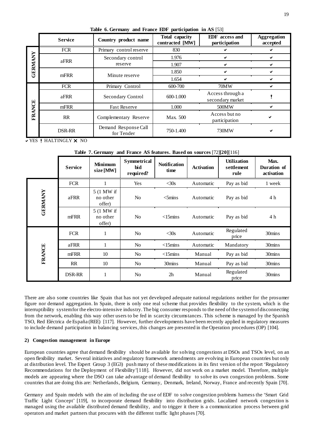<span id="page-18-1"></span>

|                | Table 6. Germany and France EDF participation in AS [53] |                                    |                                   |                                        |                                |  |  |
|----------------|----------------------------------------------------------|------------------------------------|-----------------------------------|----------------------------------------|--------------------------------|--|--|
|                | <b>Service</b>                                           | Country product name               | Total capacity<br>contracted [MW] | <b>EDF</b> access and<br>participation | <b>Aggregation</b><br>accepted |  |  |
|                | <b>FCR</b>                                               | Primary control reserve            | 830                               |                                        |                                |  |  |
| <b>GERMANY</b> | aFRR                                                     | Secondary control                  | 1.976                             |                                        |                                |  |  |
|                |                                                          | reserve                            | 1.907                             | ✔                                      |                                |  |  |
|                |                                                          | Minute reserve                     | 1.850                             |                                        |                                |  |  |
| mFRR           |                                                          | 1.654                              | ✔                                 |                                        |                                |  |  |
|                | <b>FCR</b>                                               | Primary Control                    | 600-700                           | 70MW                                   |                                |  |  |
|                | aFRR                                                     | Secondary Control                  | 600-1.000                         | Access through a<br>secondary market   |                                |  |  |
|                | mFRR                                                     | <b>Fast Reserve</b>                | 1.000                             | 500MW                                  |                                |  |  |
| <b>FRANCE</b>  | RR                                                       | Complementary Reserve              | Max. 500                          | Access but no<br>participation         |                                |  |  |
|                | DSR-RR                                                   | Demand Response Call<br>for Tender | 750-1.400                         | 730MW                                  |                                |  |  |

**v** YES *HALTINGLY* **X** NO

# **Table 7. Germany and France AS features. Based on sources** [72]**[20]**[116]

<span id="page-18-2"></span>

|                | <b>Service</b> | <b>Minimum</b><br>size [MW]      | <b>Symmetrical</b><br>bid<br>required? | <b>Notification</b><br>time | <b>Activation</b> | <b>Utilization</b><br>settlement<br>rule | Max.<br>Duration of<br>activation |
|----------------|----------------|----------------------------------|----------------------------------------|-----------------------------|-------------------|------------------------------------------|-----------------------------------|
|                | <b>FCR</b>     |                                  | Yes                                    | $<$ 30s                     | Automatic         | Pay as bid                               | 1 week                            |
| <b>GERMANY</b> | aFRR           | 5 (1 MW if<br>no other<br>offer) | N <sub>o</sub>                         | $<$ 5mins                   | Automatic         | Pay as bid                               | 4 h                               |
|                | mFRR           | 5 (1 MW if<br>no other<br>offer) | N <sub>o</sub>                         | $<$ 15 $\rm{mins}$          | Automatic         | Pay as bid                               | 4 h                               |
|                | <b>FCR</b>     | 1                                | N <sub>o</sub>                         | $<$ 30s                     | Automatic         | Regulated<br>price                       | 30mins                            |
|                | aFRR           |                                  | No                                     | $<$ 15 $m$ ins              | Automatic         | Mandatory                                | 30mins                            |
| <b>FRANCE</b>  | mFRR           | 10                               | No                                     | $<$ 15 $\rm{mins}$          | Manual            | Pay as bid                               | 30mins                            |
|                | RR             | 10                               | No                                     | 30mins                      | Manual            | Pay as bid                               | 30mins                            |
|                | DSR-RR         |                                  | N <sub>o</sub>                         | 2h                          | Manual            | Regulated<br>price                       | 30mins                            |

There are also some countries like Spain that has not yet developed adequate national regulations neither for the prosumer figure nor demand aggregation. In Spain, there is only one real scheme that provides flexibility to the system, which is the interruptibility system for the electro-intensive industry. The big consumer responds to the need of the system of disconnecting from the network, enabling this way other users to be fed in scarcity circumstances. This scheme is managed by the Spanish TSO, Red Eléctrica de España (REE) [117]. However, further developments have been recently applied in regulatory measures to include demand participation in balancing services, this changes are presented in the Operation procedures (OP) [104].

# <span id="page-18-0"></span>**2) Congestion management in Europe**

European countries agree that demand flexibility should be available for solving congestions at DSOs and TSOs level, on an open flexibility market. Several initiatives and regulatory framework amendments are evolving in European countries but only at distribution level. The Expert Group 3 (EG3) push many of these modifications in its first version of the report 'Regulatory Recommendations for the Deployment of Flexibility'[118]. However, did not work on a market model. Therefore, multiple models are appearing where the DSO can take advantage of demand flexibility to solve its own congestion problems. Some countries that are doing this are: Netherlands, Belgium, Germany, Denmark, Ireland, Norway, France and recently Spain [70].

Germany and Spain models with the aim of including the use of EDF to solve congestion problems harness the 'Smart Grid Traffic Light Concept' [119], to incorporate demand flexibility into distribution grids. Localized network congestion is managed using the available distributed demand flexibility, and to trigger it there is a communication process between grid operators and market partners that procures with the different traffic light phases [70].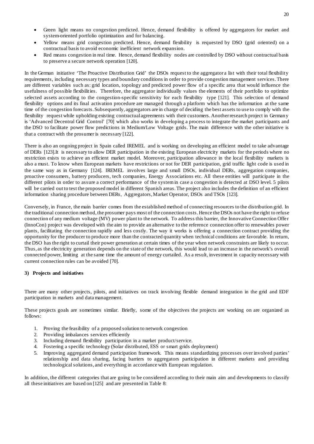- Green light means no congestion predicted. Hence, demand flexibility is offered by aggregators for market and system-oriented portfolio optimization and for balancing.
- Yellow means grid congestion predicted. Hence, demand flexibility is requested by DSO (grid oriented) on a contractual basis to avoid economic inefficient network expansion.
- Red means congestion in real time. Hence, demand flexibility nodes are controlled by DSO without contractual basis to preserve a secure network operation [120].

In the German initiative 'The Proactive Distribution Grid' the DSOs request to the aggregator a list with their total flexibility requirements, including necessary types and boundary conditions in order to provide congestion management services. There are different variables such as: grid location, topology and predicted power flow of a specific area that would influence the usefulness of possible flexibilities. Therefore, the aggregator individually values the elements of their portfolio to optimize selected assets according to the congestion-specific sensitivity for each flexibility type [121]. This selection of demand flexibility options and its final activation procedure are managed through a platform which has the information at the same time of the congestion forecasts. Subsequently, aggregators are in charge of deciding the best assets to use to comply with the flexibility request while upholding existing contractual agreements with their customers. Another research project in Germany is 'Advanced Decentral Grid Control' [70] which also works in developing a process to integrate the market participants and the DSO to facilitate power flow predictions in Medium/Low Voltage grids. The main difference with the other initiative is that a contract with the prosumer is necessary [122].

There is also an ongoing project in Spain called IREMEL and is working on developing an efficient model to take advantage of DERs [123].It is necessary to allow DER participation in the existing European electricity markets for the periods where no restriction exists to achieve an efficient market model. Moreover, participation allowance in the local flexibility markets is also a must. To know when European markets have restrictions or not for DER participation, grid traffic light code is used in the same way as in Germany [124]. IREMEL involves large and small DSOs, individual DERs, aggregation companies, proactive consumers, battery producers, tech companies, Energy Associations etc. All these entities will participate in the different pilots in order to assure a correct performance of the system in case a congestion is detected at DSO level. 5 pilots will be carried out to test the proposed model in different Spanish areas. The project also includes the definition of an efficient information sharing procedure between DERs, Aggregators, Market Operator, DSOs and TSOs [123].

Conversely, in France, the main barrier comes from the established method of connecting resources to the distribution grid. In the traditional connection method, the prosumer pays most of the connection costs. Hence the DSOs not have the right to refuse connection of any medium voltage (MV) power plant to the network. To address this barrier, the Innovative Connection Offer (InnoCon) project was developed with the aim to provide an alternative to the reference connection offer to renewables power plants, facilitating the connection rapidly and less costly. The way it works is offering a connection contract providing the opportunity for the producer to produce more than the contracted quantity when technical conditions are favorable. In return, the DSO has the right to curtail their power generation at certain times of the year when network constraints are likely to occur. Thus, as the electricity generation depends on the state of the network, this would lead to an increase in the network's overall connected power, limiting at the same time the amount of energy curtailed. As a result, investment in capacity necessary with current connection rules can be avoided [70].

# <span id="page-19-0"></span>**3) Projects and initiatives**

There are many other projects, pilots, and initiatives on track involving flexible demand integration in the grid and EDF participation in markets and data management.

These projects goals are sometimes similar. Briefly, some of the objectives the projects are working on are organized as follows:

- 1. Proving the feasibility of a proposed solution to network congestion<br>2. Providing imbalances services efficiently
- 
- 2. Providing imbalances services efficiently<br>3. Including demand flexibility participation Including demand flexibility participation in a market product/service.
- 4. Fostering a specific technology (Solar distributed, ESS or smart grids deployment)
- 5. Improving aggregated demand participation framework. This means standardizing processes over involved parties' relationship and data sharing, facing barriers to aggregators participation in different markets and providing technological solutions, and everything in accordance with European regulation.

In addition, the different categories that are going to be considered according to their main aim and developments to classify all these initiatives are based on [125] and are presented in [Table 8:](#page-20-0)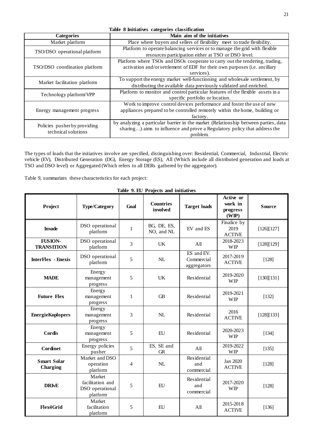<span id="page-20-0"></span>

| Table 8 Initiatives categories classification |                                                                                     |  |  |
|-----------------------------------------------|-------------------------------------------------------------------------------------|--|--|
| <b>Categories</b>                             | Main aim of the initiatives                                                         |  |  |
| Market platform                               | Place where buyers and sellers of flexibility meet to trade flexibility.            |  |  |
| TSO/DSO operational platform                  | Platform to operate balancing services or to manage the grid with flexible          |  |  |
|                                               | resources participation either at TSO or DSO level.                                 |  |  |
|                                               | Platform where TSOs and DSOs cooperate to carry out the tendering, trading,         |  |  |
| TSO/DSO coordination platform                 | activation and/or settlement of EDF for their own purposes (i.e. ancillary          |  |  |
|                                               | services).                                                                          |  |  |
| Market facilitation platform                  | To support the energy market well-functioning and wholesale settlement, by          |  |  |
|                                               | distributing the available data previously validated and enriched.                  |  |  |
| Technology platform/VPP                       | Platform to monitor and control particular features of the flexible assets in a     |  |  |
|                                               | specific portfolio or location.                                                     |  |  |
|                                               | Work to improve control devices performance and foster the use of new               |  |  |
| Energy management progress                    | appliances prepared to be controlled remotely within the home, building or          |  |  |
|                                               | factory.                                                                            |  |  |
| Policies pusher by providing                  | by analyzing a particular barrier in the market (Relationship between parties, data |  |  |
| technical solutions                           | sharing) aims to influence and prove a Regulatory policy that address the           |  |  |
|                                               | problem.                                                                            |  |  |

The types of loads that the initiatives involve are specified, distinguishing over: Residential, Commercial, Industrial, Electric vehicle (EV), Distributed Generation (DG), Energy Storage (ES), All (Which include all distributed generation and loads at TSO and DSO level) or Aggregated (Which refers to all DERs gathered by the aggregator).

[Table 9,](#page-20-1) summarizes these characteristics for each project:

<span id="page-20-1"></span>

| Table 7. Le 1 rojects and immail res |                                                           |                |                              |                                         |                                           |               |
|--------------------------------------|-----------------------------------------------------------|----------------|------------------------------|-----------------------------------------|-------------------------------------------|---------------|
| Project                              | <b>Type/Category</b>                                      | Goal           | <b>Countries</b><br>involved | <b>Target loads</b>                     | Active or<br>work in<br>progress<br>(WIP) | <b>Source</b> |
| <b>Invade</b>                        | DSO operational<br>platform                               | $\mathbf{1}$   | BG, DE, ES,<br>NO, and NL    | EV and ES                               | Finalice by<br>2019<br><b>ACTIVE</b>      | [126][127]    |
| <b>FUSION-</b><br><b>TRANSITION</b>  | DSO operational<br>platform                               | $\overline{3}$ | UK                           | All                                     | 2018-2023<br><b>WIP</b>                   | [128][129]    |
| <b>InterFlex - Enexis</b>            | DSO operational<br>platform                               | 5              | NL                           | ES and EV.<br>Commercial<br>aggregators | 2017-2019<br><b>ACTIVE</b>                | $[128]$       |
| <b>MADE</b>                          | Energy<br>management<br>progress                          | 5              | <b>UK</b>                    | Residential                             | 2019-2020<br><b>WIP</b>                   | [130][131]    |
| <b>Future Flex</b>                   | Energy<br>management<br>progress                          | 1              | <b>GB</b>                    | Residential                             | 2019-2021<br><b>WIP</b>                   | [132]         |
| <b>EnergieKoplopers</b>              | Energy<br>management<br>progress                          | 3              | NL                           | Residential                             | 2016<br><b>ACTIVE</b>                     | [128][133]    |
| Cordis                               | Energy<br>management<br>progress                          | 5              | EU                           | Residential                             | 2020-2023<br><b>WIP</b>                   | [134]         |
| Cordinet                             | Energy policies<br>pusher                                 | 5              | ES, SE and<br><b>GR</b>      | All                                     | 2019-2022<br><b>WIP</b>                   | [135]         |
| <b>Smart Solar</b><br>Charging       | Market and DSO<br>operation<br>platform                   | 4              | $\rm NL$                     | Residential<br>and<br>commercial        | Jan 2020<br><b>ACTIVE</b>                 | $[128]$       |
| <b>DRIvE</b>                         | Market<br>facilitation and<br>DSO operational<br>platform | 5              | EU                           | Residential<br>and<br>commercial        | 2017-2020<br><b>WIP</b>                   | $[128]$       |
| Flex4Grid                            | Market<br>facilitation<br>platform                        | 5              | EU                           | A <sub>II</sub>                         | 2015-2018<br><b>ACTIVE</b>                | [136]         |

**Table 9. EU Projects and initiatives**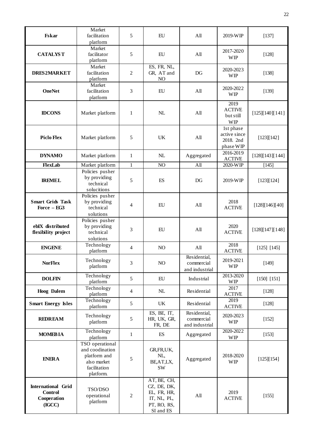| <b>Fskar</b>                                                         | Market<br>facilitation<br>platform                                                             | 5              | EU                                                                                   | All                                          | 2019-WIP                                            | [137]           |
|----------------------------------------------------------------------|------------------------------------------------------------------------------------------------|----------------|--------------------------------------------------------------------------------------|----------------------------------------------|-----------------------------------------------------|-----------------|
| <b>CATALYST</b>                                                      | Market<br>facilitator<br>platform                                                              | 5              | ${\rm EU}$                                                                           | All                                          | 2017-2020<br><b>WIP</b>                             | $[128]$         |
| <b>DRES2MARKET</b>                                                   | Market<br>facilitation<br>platform                                                             | $\overline{2}$ | ES, FR, NL,<br>GR, AT and<br>NO                                                      | DG                                           | 2020-2023<br><b>WIP</b>                             | $[138]$         |
| <b>OneNet</b>                                                        | Market<br>facilitation<br>platform                                                             | 3              | ${\rm EU}$                                                                           | $\mathbf{All}$                               | 2020-2022<br><b>WIP</b>                             | [139]           |
| <b>IDCONS</b>                                                        | Market platform                                                                                | $\mathbf{1}$   | NL                                                                                   | All                                          | 2019<br><b>ACTIVE</b><br>but still<br><b>WIP</b>    | [125][140][141] |
| <b>Piclo Flex</b>                                                    | Market platform                                                                                | 5              | UK                                                                                   | All                                          | 1st phase<br>active since<br>2018. 2nd<br>phase WIP | [123][142]      |
| <b>DYNAMO</b>                                                        | Market platform                                                                                | $\mathbf{1}$   | NL                                                                                   | Aggregated                                   | 2016-2019<br><b>ACTIVE</b>                          | [128][143][144] |
| FlexLab                                                              | Market platform                                                                                | $\mathbf{1}$   | NO                                                                                   | All                                          | 2020-WIP                                            | $[145]$         |
| <b>IREMEL</b>                                                        | Policies pusher<br>by providing<br>technical<br>solucitions                                    | 5              | ES                                                                                   | DG                                           | 2019-WIP                                            | [123][124]      |
| <b>Smart Grids Task</b><br>Force - EG3                               | Policies pusher<br>by providing<br>technical<br>solutions                                      | 4              | EU                                                                                   | All                                          | 2018<br><b>ACTIVE</b>                               | [128][146][40]  |
| ebIX distributed<br>flexibility project                              | Policies pusher<br>by providing<br>technical<br>solutions                                      | 3              | ${\rm EU}$                                                                           | All                                          | 2020<br><b>ACTIVE</b>                               | [128][147][148] |
| <b>ENGENE</b>                                                        | Technology<br>platform                                                                         | $\overline{4}$ | NO                                                                                   | All                                          | 2018<br><b>ACTIVE</b>                               | [125] [145]     |
| <b>NorFlex</b>                                                       | Technology<br>platform                                                                         | 3              | NO                                                                                   | Residential,<br>commercial<br>and industrial | 2019-2021<br><b>WIP</b>                             | [149]           |
| <b>DOLFIN</b>                                                        | Technology<br>platform                                                                         | 5              | ${\rm EU}$                                                                           | Industrial                                   | 2013-2020<br><b>WIP</b>                             | [150] [151]     |
| <b>Hoog</b> Dalem                                                    | Technology<br>platform                                                                         | $\overline{4}$ | $\rm NL$                                                                             | Residential                                  | 2017<br><b>ACTIVE</b>                               | $[128]$         |
| <b>Smart Energy Isles</b>                                            | Technology<br>platform                                                                         | 5              | UK                                                                                   | Residential                                  | 2019<br><b>ACTIVE</b>                               | $[128]$         |
| <b>REDREAM</b>                                                       | Technology<br>platform                                                                         | 5              | ES, BE, IT,<br>HR, UK, GR,<br>FR, DE                                                 | Residential,<br>commercial<br>and industrial | 2020-2023<br><b>WIP</b>                             | $[152]$         |
| <b>MOMEBIA</b>                                                       | Technology<br>platform                                                                         | $\mathbf{1}$   | $\mathop{\hbox{\rm ES}}$                                                             | Aggregated                                   | 2020-2022<br><b>WIP</b>                             | $[153]$         |
| <b>ENERA</b>                                                         | TSO operational<br>and coodination<br>platform and<br>also market<br>facilitation<br>platform. | 5              | GR, FR, UK,<br>NL,<br>BE, AT, LX,<br>SW                                              | Aggregated                                   | 2018-2020<br><b>WIP</b>                             | [125][154]      |
| <b>International Grid</b><br><b>Control</b><br>Cooperation<br>(IGCC) | TSO/DSO<br>operational<br>platform                                                             | $\mathfrak{2}$ | AT, BE, CH,<br>CZ, DE, DK,<br>EL, FR, HR,<br>IT, NL, PL,<br>PT, RO, RS,<br>SI and ES | All                                          | 2019<br><b>ACTIVE</b>                               | [155]           |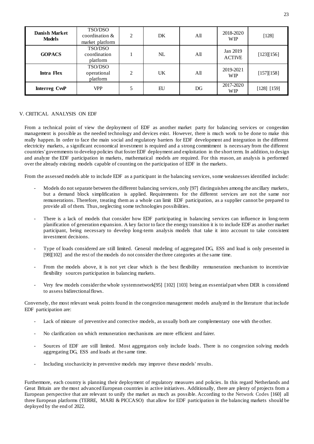| <b>Danish Market</b><br><b>Models</b> | TSO/DSO<br>coordination &<br>market platform | $\overline{c}$ | DK | A <sub>II</sub> | 2018-2020<br><b>WIP</b>   | [128]       |
|---------------------------------------|----------------------------------------------|----------------|----|-----------------|---------------------------|-------------|
| <b>GOPACS</b>                         | TSO/DSO<br>coordination<br>platform          |                | NL | All             | Jan 2019<br><b>ACTIVE</b> | [123][156]  |
| <b>Intra Flex</b>                     | TSO/DSO<br>operational<br>platform           | $\overline{c}$ | UK | All             | 2019-2021<br><b>WIP</b>   | [157][158]  |
| Interreg CwP                          | <b>VPP</b>                                   |                | EU | DG              | 2017-2020<br><b>WIP</b>   | [128] [159] |

# <span id="page-22-0"></span>V. CRITICAL ANALYSIS ON EDF

From a technical point of view the deployment of EDF as another market party for balancing services or congestion management is possible as the needed technology and devices exist. However, there is much work to be done to make this really happen. In order to face the main social and regulatory barriers for EDF development and integration in the different electricity markets, a significant economical investment is required and a strong commitment is necessary from the different countries' governments to develop policies that foster EDF deployment and exploitation in the short term. In addition, to design and analyze the EDF participation in markets, mathematical models are required. For this reason, an analysis is performed over the already existing models capable of counting on the participation of EDF in the markets.

From the assessed models able to include EDF as a participant in the balancing services, some weaknesses identified include:

- Models do not separate between the different balancing services, only [97] distinguishes among the ancillary markets, but a demand block simplification is applied. Requirements for the different services are not the same nor remunerations. Therefore, treating them as a whole can limit EDF participation, as a supplier cannot be prepared to provide all of them. Thus, neglecting some technologies possibilities.
- There is a lack of models that consider how EDF participating in balancing services can influence in long-term planification of generation expansion. A key factor to face the energy transition it is to include EDF as another market participant, being necessary to develop long-term analysis models that take it into account to take consistent investment decisions.
- Type of loads considered are still limited. General modeling of aggregated DG, ESS and load is only presented in [98][102] and the rest of the models do not consider the three categories at the same time.
- From the models above, it is not yet clear which is the best flexibility remuneration mechanism to incentivize flexibility sources participation in balancing markets.
- Very few models consider the whole system network[95] [102] [103] being an essential part when DER is considered to assess bidirectional flows.

Conversely, the most relevant weak points found in the congestion management models analyzed in the literature that include EDF participation are:

- Lack of mixture of preventive and corrective models, as usually both are complementary one with the other.
- No clarification on which remuneration mechanisms are more efficient and fairer.
- Sources of EDF are still limited. Most aggregators only include loads. There is no congestion solving models aggregating DG, ESS and loads at the same time.
- Including stochasticity in preventive models may improve these models' results.

Furthermore, each country is planning their deployment of regulatory measures and policies. In this regard Netherlands and Great Britain are the most advanced European countries in active initiatives. Additionally, there are plenty of projects from a European perspective that are relevant to unify the market as much as possible. According to the Network Codes [160] all three European platforms (TERRE, MARI & PICCASO) that allow for EDF participation in the balancing markets should be deployed by the end of 2022.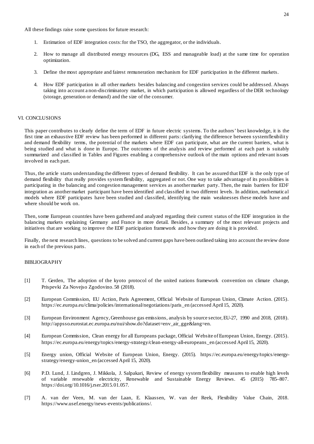All these findings raise some questions for future research:

- 1. Estimation of EDF integration costs: for the TSO, the aggregator, or the individuals.
- 2. How to manage all distributed energy resources (DG, ESS and manageable load) at the same time for operation optimization.
- 3. Define the most appropriate and fairest remuneration mechanism for EDF participation in the different markets.
- 4. How EDF participation in all other markets besides balancing and congestion services could be addressed. Always taking into account a non-discriminatory market, in which participation is allowed regardless of the DER technology (storage, generation or demand) and the size of the consumer.

#### <span id="page-23-0"></span>VI. CONCLUSIONS

This paper contributes to clearly define the term of EDF in future electric systems. To the authors' best knowledge, it is the first time an exhaustive EDF review has been performed in different parts: clarifying the difference between system flexibility and demand flexibility terms, the potential of the markets where EDF can participate, what are the current barriers, what is being studied and what is done in Europe. The outcomes of the analysis and review performed at each part is suitably summarized and classified in Tables and Figures enabling a comprehensive outlook of the main options and relevant issues involved in each part.

Thus, the article starts understanding the different types of demand flexibility. It can be assured that EDF is the only type of demand flexibility that really provides system flexibility, aggregated or not. One way to take advantage of its possibilities is participating in the balancing and congestion management services as another market party. Then, the main barriers for EDF integration as another market participant have been identified and classified in two different levels. In addition, mathematical models where EDF participates have been studied and classified, identifying the main weaknesses these models have and where should be work on.

Then, some European countries have been gathered and analyzed regarding their current status of the EDF integration in the balancing markets explaining Germany and France in more detail. Besides, a summary of the most relevant projects and initiatives that are working to improve the EDF participation framework and how they are doing it is provided.

Finally, the next research lines, questions to be solved and current gaps have been outlined taking into account the review done in each of the previous parts.

## <span id="page-23-1"></span>BIBLIOGRAPHY

- [1] T. Gerden, The adoption of the kyoto protocol of the united nations framework convention on climate change, Prispevki Za Novejso Zgodovino. 58 (2018).
- [2] European Commission, EU Action, Paris Agreement, Official Website of European Union, Climate Action. (2015). https://ec.europa.eu/clima/policies/international/negotiations/paris\_en (accessed April 15, 2020).
- [3] European Environment Agency, Greenhouse gas emissions, analysis by source sector, EU-27, 1990 and 2018, (2018). http://appsso.eurostat.ec.europa.eu/nui/show.do?dataset=env\_air\_gge&lang=en.
- [4] European Commission, Clean energy for all Europeans package, Official Website of European Union, Energy. (2015). https://ec.europa.eu/energy/topics/energy-strategy/clean-energy-all-europeans\_en (accessed April 15, 2020).
- [5] Energy union, Official Website of European Union, Energy. (2015). https://ec.europa.eu/energy/topics/energystrategy/energy-union\_en (accessed April 15, 2020).
- [6] P.D. Lund, J. Lindgren, J. Mikkola, J. Salpakari, Review of energy system flexibility measures to enable high levels of variable renewable electricity, Renewable and Sustainable Energy Reviews. 45 (2015) 785–807. https://doi.org/10.1016/j.rser.2015.01.057.
- [7] A. van der Veen, M. van der Laan, E. Klaassen, W. van der Reek, Flexibility Value Chain, 2018. https://www.usef.energy/news-events/publications/.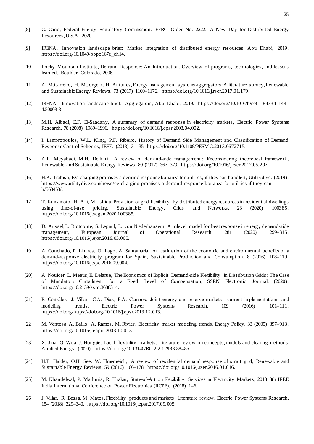- [8] C. Cano, Federal Energy Regulatory Commission. FERC Order No. 2222: A New Day for Distributed Energy Resources, U.S.A, 2020.
- [9] IRENA, Innovation landscape brief: Market integration of distributed energy resources, Abu Dhabi, 2019. https://doi.org/10.1049/pbpo167e\_ch14.
- [10] Rocky Mountain Institute, Demand Response: An Introduction. Overview of programs, technologies, and lessons learned., Boulder, Colorado, 2006.
- [11] A. M.Carreiro, H. M.Jorge, C.H. Antunes, Energy management systems aggregators: A literature survey, Renewable and Sustainable Energy Reviews. 73 (2017) 1160–1172. https://doi.org/10.1016/j.rser.2017.01.179.
- [12] IRENA, Innovation landscape brief: Aggregators, Abu Dhabi, 2019. https://doi.org/10.1016/b978-1-84334-144- 4.50003-3.
- [13] M.H. Albadi, E.F. El-Saadany, A summary of demand response in electricity markets, Electric Power Systems Research. 78 (2008) 1989–1996. https://doi.org/10.1016/j.epsr.2008.04.002.
- [14] I. Lampropoulos, W.L. Kling, P.F. Ribeiro, History of Demand Side Management and Classification of Demand Response Control Schemes, IEEE. (2013) 31–35. https://doi.org/10.1109/PESMG.2013.6672715.
- [15] A.F. Meyabadi, M.H. Deihimi, A review of demand-side management : Reconsidering theoretical framework, Renewable and Sustainable Energy Reviews. 80 (2017) 367–379. https://doi.org/10.1016/j.rser.2017.05.207.
- [16] H.K. Trabish, EV charging promises a demand response bonanza for utilities, if they can handle it, Utilitydive. (2019). https://www.utilitydive.com/news/ev-charging-promises-a-demand-response-bonanza-for-utilities-if-they-canh/563453/.
- [17] T. Kumamoto, H. Aki, M. Ishida, Provision of grid flexibility by distributed energy resources in residential dwellings using time-of-use pricing, Sustainable Energy, Grids and Networks. 23 (2020) 100385. using time-of-use pricing, Sustainable Energy, Grids and Networks. 23 (2020) 100385. https://doi.org/10.1016/j.segan.2020.100385.
- [18] D. Aussel, L. Brotcorne, S. Lepaul, L. von Niederhäusern, A trilevel model for best response in energy demand-side management, European Journal of Operational Research. 281 (2020) 299–315. https://doi.org/10.1016/j.ejor.2019.03.005.
- [19] A. Conchado, P. Linares, O. Lago, A. Santamaría, An estimation of the economic and environmental benefits of a demand-response electricity program for Spain, Sustainable Production and Consumption. 8 (2016) 108–119. https://doi.org/10.1016/j.spc.2016.09.004.
- [20] A. Nouicer, L. Meeus, E. Delarue, The Economics of Explicit Demand-side Flexibility in Distribution Grids: The Case of Mandatory Curtailment for a Fixed Level of Compensation, SSRN Electronic Journal. (2020). https://doi.org/10.2139/ssrn.3688314.
- [21] P. González, J. Villar, C.A. Díaz, F.A. Campos, Joint energy and reserve markets : current implementations and modeling trends, Electric Power Systems Research. 109 (2016) 101–111. https://doi.org/https://doi.org/10.1016/j.epsr.2013.12.013.
- [22] M. Ventosa, A. Baillo, A. Ramos, M. Rivier, Electricity market modeling trends, Energy Policy. 33 (2005) 897–913. https://doi.org/10.1016/j.enpol.2003.10.013.
- [23] X. Jina, Q. Wua, J. Hongjie, Local flexibility markets: Literature review on concepts, models and clearing methods, Applied Energy. (2020). https://doi.org/10.13140/RG.2.2.12983.88485.
- [24] H.T. Haider, O.H. See, W. Elmenreich, A review of residential demand response of smart grid, Renewable and Sustainable Energy Reviews. 59 (2016) 166–178. https://doi.org/10.1016/j.rser.2016.01.016.
- [25] M. Khandelwal, P. Mathuria, R. Bhakar, State-of-Art on Flexibility Services in Electricity Markets, 2018 8th IEEE India International Conference on Power Electronics (IICPE). (2018) 1–6.
- [26] J. Villar, R. Bessa, M. Matos, Flexibility products and markets: Literature review, Electric Power Systems Research. 154 (2018) 329–340. https://doi.org/10.1016/j.epsr.2017.09.005.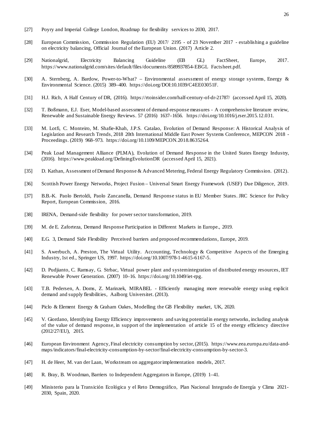- [27] Poyry and Imperial College London, Roadmap for flexibility services to 2030, 2017.
- [28] European Commission, Commission Regulation (EU) 2017/ 2195 of 23 November 2017 establishing a guideline on electricity balancing, Official Journal of the European Union. (2017) Article 2.
- [29] Nationalgrid, Electricity Balancing Guideline (EB GL) FactSheet, Europe, 2017. https://www.nationalgrid.com/sites/default/files/documents/8589937854-EBGL Factsheet.pdf.
- [30] A. Sternberg, A. Bardow, Power-to-What? Environmental assessment of energy storage systems, Energy & Environmental Science. (2015) 389–400. https://doi.org/DOI:10.1039/C4EE03051F.
- [31] H.J. Rich, A Half Century of DR, (2016). https://rtoinsider.com/half-century-of-dr-21787/ (accessed April 15, 2020).
- [32] T. Boßmann, E.J. Eser, Model-based assessment of demand-response measures A comprehensive literature review, Renewable and Sustainable Energy Reviews. 57 (2016) 1637–1656. https://doi.org/10.1016/j.rser.2015.12.031.
- [33] M. Lotfi, C. Monteiro, M. Shafie-Khah, J.P.S. Catalao, Evolution of Demand Response: A Historical Analysis of Legislation and Research Trends, 2018 20th International Middle East Power Systems Conference, MEPCON 2018 - Proceedings. (2019) 968–973. https://doi.org/10.1109/MEPCON.2018.8635264.
- [34] Peak Load Management Alliance (PLMA), Evolution of Demand Response in the United States Energy Industry, (2016). https://www.peakload.org/DefiningEvolutionDR (accessed April 15, 2021).
- [35] D. Kathan, Assessment of Demand Response & Advanced Metering, Federal Energy Regulatory Commission. (2012).
- [36] Scottish Power Energy Networks, Project Fusion Universal Smart Energy Framework (USEF) Due Diligence, 2019.
- [37] B.B.-K. Paolo Bertoldi, Paolo Zancanella, Demand Response status in EU Member States. JRC Science for Policy Report, European Commission, 2016.
- [38] IRENA, Demand-side flexibility for power sector transformation, 2019.
- [39] M. de E. Zaforteza, Demand Response Participation in Different Markets in Europe., 2019.
- [40] E.G. 3, Demand Side Flexibility Perceived barriers and proposed recommendations, Europe, 2019.
- [41] S. Awerbuch, A. Preston, The Virtual Utility. Accounting, Technology & Competitive Aspects of the Emerging Industry, 1st ed., Springer US, 1997. https://doi.org/10.1007/978-1-4615-6167-5.
- [42] D. Pudjianto, C. Ramsay, G. Strbac, Virtual power plant and system integration of distributed energy resources, IET Renewable Power Generation. (2007) 10–16. https://doi.org/10.1049/iet-rpg.
- [43] T.B. Pedersen, A. Doms, Z. Marinzek, MIRABEL Efficiently managing more renewable energy using explicit demand and supply flexibilities, Aalborg Universitet. (2013).
- [44] Piclo & Element Energy & Graham Oakes, Modelling the GB Flexibility market, UK, 2020.
- [45] V. Giordano, Identifying Energy Efficiency improvements and saving potential in energy networks, including analysis of the value of demand response, in support of the implementation of article 15 of the energy efficiency directive (2012/27/EU), 2015.
- [46] European Environment Agency, Final electricity consumption by sector, (2015). https://www.eea.europa.eu/data-andmaps/indicators/final-electricity-consumption-by-sector/final-electricity-consumption-by-sector-3.
- [47] H. de Heer, M. van der Laan, Workstream on aggregator implementation models, 2017.
- [48] R. Bray, B. Woodman, Barriers to Independent Aggregators in Europe, (2019) 1–41.
- [49] Ministerio para la Transición Ecológica y el Reto Demográfico, Plan Nacional Integrado de Energía y Clima 2021- 2030, Spain, 2020.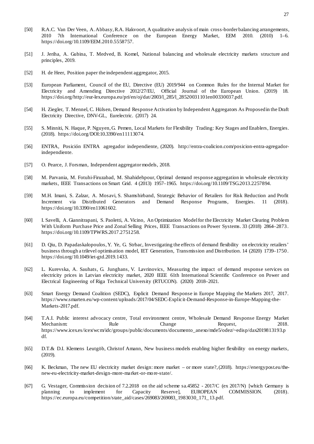- [50] R.A.C. Van Der Veen, A. Abbasy, R.A. Hakvoort, A qualitative analysis of main cross-border balancing arrangements, 2010 7th International Conference on the European Energy Market, EEM 2010. (2010) 1–6. https://doi.org/10.1109/EEM.2010.5558757.
- [51] J. Jeriha, A. Gubina, T. Medved, B. Komel, National balancing and wholesale electricity markets structure and principles, 2019.
- [52] H. de Heer, Position paper the independent aggregator, 2015.
- [53] European Parliament, Council of the EU, Directive (EU) 2019/944 on Common Rules for the Internal Market for Electricity and Amending Directive 2012/27/EU, Official Journal of the European Union. (2019) 18. https://doi.org/http://eur-lex.europa.eu/pri/en/oj/dat/2003/l\_285/l\_28520031101en00330037.pdf.
- [54] H. Ziegler, T. Mennel, C. Hülsen, Demand Response Activation by Independent Aggregators As Proposed in the Draft Electricity Directive, DNV-GL, Eurelectric. (2017) 24.
- [55] S. Minniti, N. Haque, P. Nguyen, G. Pemen, Local Markets for Flexibility Trading: Key Stages and Enablers, Energies. (2018). https://doi.org/DOI:10.3390/en11113074.
- [56] ENTRA, Posición ENTRA agregador independiente, (2020). http://entra-coalicion.com/posicion-entra-agregadorindependiente.
- [57] O. Pearce, J. Forsman, Independent aggregator models, 2018.
- [58] M. Parvania, M. Fotuhi-Firuzabad, M. Shahidehpour, Optimal demand response aggregation in wholesale electricity markets, IEEE Transactions on Smart Grid. 4 (2013) 1957–1965. https://doi.org/10.1109/TSG.2013.2257894.
- [59] M.H. Imani, S. Zalzar, A. Mosavi, S. Shamshirband, Strategic Behavior of Retailers for Risk Reduction and Profit Increment via Distributed Generators and Demand Response Programs, Energies. 11 (2018). https://doi.org/10.3390/en11061602.
- [60] I. Savelli, A. Giannitrapani, S. Paoletti, A. Vicino, An Optimization Model for the Electricity Market Clearing Problem With Uniform Purchase Price and Zonal Selling Prices, IEEE Transactions on Power Systems. 33 (2018) 2864–2873. https://doi.org/10.1109/TPWRS.2017.2751258.
- [61] D. Qiu, D. Papadaskalopoulos, Y. Ye, G. Strbac, Investigating the effects of demand flexibility on electricity retailers' business through a trilevel optimisation model, IET Generation, Transmission and Distribution. 14 (2020) 1739–1750. https://doi.org/10.1049/iet-gtd.2019.1433.
- [62] L. Kurevska, A. Sauhats, G. Junghans, V. Lavrinovics, Measuring the impact of demand response services on electricity prices in Latvian electricity market, 2020 IEEE 61th International Scientific Conference on Power and Electrical Engineering of Riga Technical University (RTUCON). (2020) 2018–2021.
- [63] Smart Energy Demand Coalition (SEDC), Explicit Demand Response in Europe Mapping the Markets 2017, 2017. https://www.smarten.eu/wp-content/uploads/2017/04/SEDC-Explicit-Demand-Response-in-Europe-Mapping-the-Markets-2017.pdf.
- [64] T.A.I. Public interest advocacy centre, Total environment centre, Wholesale Demand Response Energy Market Mechanism: Rule Reguest, 2018. https://www.icex.es/icex/wcm/idc/groups/public/documents/documento\_anexo/mde5/odez/~edisp/dax2019813193.p df.
- [65] D.T.& D.I. Klemens Leutgöb, Christof Amann, New business models enabling higher flexibility on energy markets, (2019).
- [66] K. Beckman, The new EU electricity market design: more market or more state?, (2018). https://energypost.eu/thenew-eu-electricity-market-design-more-market-or-more-state/.
- [67] G. Vestager, Commission decision of 7.2.2018 on the aid scheme sa.45852 2017/C (ex 2017/N) [which Germany is planning to implement for Capacity Reserve], EUROPEAN COMMISSION. (2018). https://ec.europa.eu/competition/state\_aid/cases/269083/269083\_1983030\_171\_13.pdf.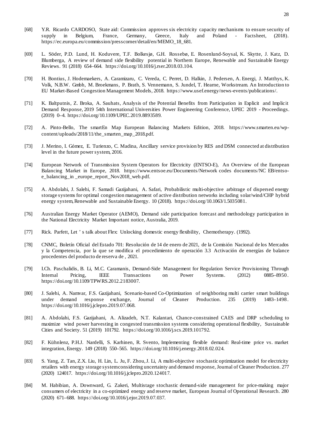28

- [68] Y.R. Ricardo CARDOSO, State aid: Commission approves six electricity capacity mechanisms to ensure security of supply in Belgium, France, Germany, Greece, Italy and Poland - Factsheet, (2018). https://ec.europa.eu/commission/presscorner/detail/en/MEMO\_18\_681.
- [69] L. Söder, P.D. Lund, H. Koduvere, T.F. Bolkesjø, G.H. Rossebø, E. Rosenlund-Soysal, K. Skytte, J. Katz, D. Blumberga, A review of demand side flexibility potential in Northern Europe, Renewable and Sustainable Energy Reviews. 91 (2018) 654–664. https://doi.org/10.1016/j.rser.2018.03.104.
- [70] H. Bontius, J. Hodemaekers, A. Caramizaru, C. Vereda, C. Perret, D. Halkin, J. Pedersen, A. Energi, J. Matthys, K. Volk, N.B.W. Gmbh, M. Broekmans, P. Brath, S. Vennemann, S. Jundel, T. Hearne, Workstream. An Introduction to EU Market-Based Congestion Management Models, 2018. https://www.usef.energy/news-events/publications/.
- [71] K. Baltputnis, Z. Broka, A. Sauhats, Analysis of the Potential Benefits from Participation in Explicit and Implicit Demand Response, 2019 54th International Universities Power Engineering Conference, UPEC 2019 - Proceedings. (2019) 0–4. https://doi.org/10.1109/UPEC.2019.8893589.
- [72] A. Pinto-Bello, The smartEn Map European Balancing Markets Edition, 2018. https://www.smarten.eu/wpcontent/uploads/2018/11/the\_smarten\_map\_2018.pdf.
- [73] J. Merino, I. Gómez, E. Turienzo, C. Madina, Ancillary service provision by RES and DSM connected at distribution level in the future power system, 2016.
- [74] European Network of Transmission System Operators for Electricity (ENTSO-E), An Overview of the European Balancing Market in Europe, 2018. https://www.entsoe.eu/Documents/Network codes documents/NC EB/entsoe\_balancing\_in \_europe\_report\_Nov2018\_web.pdf.
- [75] A. Abdolahi, J. Salehi, F. Samadi Gazijahani, A. Safari, Probabilistic multi-objective arbitrage of dispersed energy storage systems for optimal congestion management of active distribution networks including solar/wind/CHP hybrid energy system, Renewable and Sustainable Energy. 10 (2018). https://doi.org/10.1063/1.5035081.
- [76] Australian Energy Market Operator (AEMO), Demand side participation forecast and methodology participation in the National Electricity Market Important notice, Australia, 2019.
- [77] Rick. Parfett, Let ' s talk about Flex: Unlocking domestic energy flexibility, Chemotherapy. (1992).
- [78] CNMC, Boletín Oficial del Estado 701: Resolución de 14 de enero de 2021, de la Comisión Nacional de los Mercados y la Competencia, por la que se modifica el procedimiento de operación 3.3 Activación de energías de balance procedentes del producto de reserva de , 2021.
- [79] I.Ch. Paschalidis, B. Li, M.C. Caramanis, Demand-Side Management for Regulation Service Provisioning Through Internal Pricing, IEEE Transactions on Power Systems. (2012) 0885–8950. https://doi.org/10.1109/TPWRS.2012.2183007.
- [80] J. Salehi, A. Namvar, F.S. Gazijahani, Scenario-based Co-Optimization of neighboring multi carrier smart buildings under demand response exchange, Journal of Cleaner Production. 235 (2019) 1483–1498. https://doi.org/10.1016/j.jclepro.2019.07.068.
- [81] A. Abdolahi, F.S. Gazijahani, A. Alizadeh, N.T. Kalantari, Chance-constrained CAES and DRP scheduling to maximize wind power harvesting in congested transmission systems considering operational flexibility, Sustainable Cities and Society. 51 (2019) 101792. https://doi.org/10.1016/j.scs.2019.101792.
- [82] F. Kühnlenz, P.H.J. Nardelli, S. Karhinen, R. Svento, Implementing flexible demand: Real-time price vs. market integration, Energy. 149 (2018) 550–565. https://doi.org/10.1016/j.energy.2018.02.024.
- [83] S. Yang, Z. Tan, Z.X. Liu, H. Lin, L. Ju, F. Zhou, J. Li, A multi-objective stochastic optimization model for electricity retailers with energy storage system considering uncertainty and demand response, Journal of Cleaner Production. 277 (2020) 124017. https://doi.org/10.1016/j.jclepro.2020.124017.
- [84] M. Habibian, A. Downward, G. Zakeri, Multistage stochastic demand-side management for price-making major consumers of electricity in a co-optimized energy and reserve market, European Journal of Operational Research. 280 (2020) 671–688. https://doi.org/10.1016/j.ejor.2019.07.037.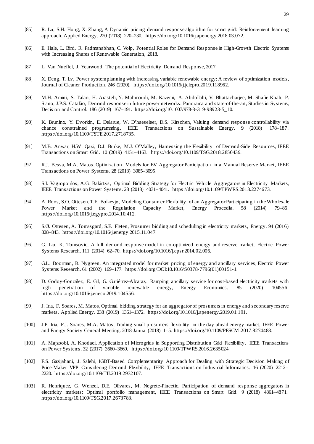- [85] R. Lu, S.H. Hong, X. Zhang, A Dynamic pricing demand response algorithm for smart grid: Reinforcement learning approach, Applied Energy. 220 (2018) 220–230. https://doi.org/10.1016/j.apenergy.2018.03.072.
- [86] E. Hale, L. Bird, R. Padmanabhan, C. Volp, Potential Roles for Demand Response in High-Growth Electric Systems with Increasing Shares of Renewable Generation, 2018.
- [87] L. Van Nueffel, J. Yearwood, The potential of Electricity Demand Response, 2017.
- [88] X. Deng, T. Lv, Power system planning with increasing variable renewable energy: A review of optimization models, Journal of Cleaner Production. 246 (2020). https://doi.org/10.1016/j.jclepro.2019.118962.
- [89] M.H. Amini, S. Talari, H. Arasteh, N. Mahmoudi, M. Kazemi, A. Abdollahi, V. Bhattacharjee, M. Shafie-Khah, P. Siano, J.P.S. Catalão, Demand response in future power networks: Panorama and state-of-the-art, Studies in Systems, Decision and Control. 186 (2019) 167–191. https://doi.org/10.1007/978-3-319-98923-5 10.
- [90] K. Bruninx, Y. Dvorkin, E. Delarue, W. D'haeseleer, D.S. Kirschen, Valuing demand response controllability via chance constrained programming, IEEE Transactions on Sustainable Energy. 9 (2018) 178–187. https://doi.org/10.1109/TSTE.2017.2718735.
- [91] M.B. Anwar, H.W. Qazi, D.J. Burke, M.J. O'Malley, Harnessing the Flexibility of Demand-Side Resources, IEEE Transactions on Smart Grid. 10 (2019) 4151–4163. https://doi.org/10.1109/TSG.2018.2850439.
- [92] R.J. Bessa, M.A. Matos, Optimization Models for EV Aggregator Participation in a Manual Reserve Market, IEEE Transactions on Power Systems. 28 (2013) 3085–3095.
- [93] S.I. Vagropoulos, A.G. Bakirtzis, Optimal Bidding Strategy for Electric Vehicle Aggregators in Electricity Markets, IEEE Transactions on Power Systems. 28 (2013) 4031–4041. https://doi.org/10.1109/TPWRS.2013.2274673.
- [94] A. Roos, S.O. Ottesen, T.F. Bolkesjø, Modeling Consumer Flexibility of an Aggregator Participating in the Wholesale Power Market and the Regulation Capacity Market, Energy Procedia. 58 (2014) 79–86. https://doi.org/10.1016/j.egypro.2014.10.412.
- [95] S.Ø. Ottesen, A. Tomasgard, S.E. Fleten, Prosumer bidding and scheduling in electricity markets, Energy. 94 (2016) 828–843. https://doi.org/10.1016/j.energy.2015.11.047.
- [96] G. Liu, K. Tomsovic, A full demand response model in co-optimized energy and reserve market, Electric Power Systems Research. 111 (2014) 62–70. https://doi.org/10.1016/j.epsr.2014.02.006.
- [97] G.L. Doorman, B. Nygreen, An integrated model for market pricing of energy and ancillary services, Electric Power Systems Research. 61 (2002) 169–177. https://doi.org/DOI:10.1016/S0378-7796(01)00151-1.
- [98] D. Godoy-González, E. Gil, G. Gutiérrez-Alcaraz, Ramping ancillary service for cost-based electricity markets with high penetration of variable renewable energy, Energy Economics. 85 (2020) 104556. high penetration of variable renewable energy, Energy Economics. 85 (2020) 104556. https://doi.org/10.1016/j.eneco.2019.104556.
- [99] J. Iria, F. Soares, M. Matos, Optimal bidding strategy for an aggregator of prosumers in energy and secondary reserve markets, Applied Energy. 238 (2019) 1361–1372. https://doi.org/10.1016/j.apenergy.2019.01.191.
- [100] J.P. Iria, F.J. Soares, M.A. Matos, Trading small prosumers flexibility in the day-ahead energy market, IEEE Power and Energy Society General Meeting. 2018-Janua (2018) 1–5. https://doi.org/10.1109/PESGM.2017.8274488.
- [101] A. Majzoobi, A. Khodaei, Application of Microgrids in Supporting Distribution Grid Flexibility, IEEE Transactions on Power Systems. 32 (2017) 3660–3669. https://doi.org/10.1109/TPWRS.2016.2635024.
- [102] F.S. Gazijahani, J. Salehi, IGDT-Based Complementarity Approach for Dealing with Strategic Decision Making of Price-Maker VPP Considering Demand Flexibility, IEEE Transactions on Industrial Informatics. 16 (2020) 2212– 2220. https://doi.org/10.1109/TII.2019.2932107.
- [103] R. Henriquez, G. Wenzel, D.E. Olivares, M. Negrete-Pincetic, Participation of demand response aggregators in electricity markets: Optimal portfolio management, IEEE Transactions on Smart Grid. 9 (2018) 4861–4871. https://doi.org/10.1109/TSG.2017.2673783.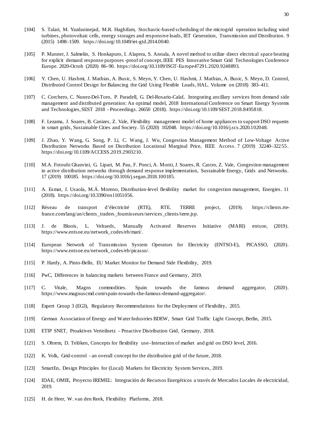30

- [104] S. Talari, M. Yazdaninejad, M.R. Haghifam, Stochastic-based scheduling of the microgrid operation including wind turbines, photovoltaic cells, energy storages and responsive loads, IET Generation, Transmission and Distribution. 9 (2015) 1498–1509. https://doi.org/10.1049/iet-gtd.2014.0040.
- [105] P. Manner, J. Salmelin, S. Honkapuro, I. Alapera, S. Annala, A novel method to utilize direct electrical space heating for explicit demand response purposes -proof of concept, IEEE PES Innovative Smart Grid Technologies Conference Europe. 2020-Octob (2020) 86–90. https://doi.org/10.1109/ISGT-Europe47291.2020.9248893.
- [106] Y. Chen, U. Hashmi, J. Mathias, A. Busic, S. Meyn, Y. Chen, U. Hashmi, J. Mathias, A. Busic, S. Meyn, D. Control, Distributed Control Design for Balancing the Grid Using Flexible Loads, HAL. Volume on (2018) 383–411.
- [107] C. Corchero, C. Nunez-Del-Toro, P. Paradell, G. Del-Rosario-Calaf, Integrating ancillary services from demand side management and distributed generation: An optimal model, 2018 International Conference on Smart Energy Systems and Technologies, SEST 2018 - Proceedings. 26650 (2018). https://doi.org/10.1109/SEST.2018.8495818.
- [108] F. Lezama, J. Soares, B. Canizes, Z. Vale, Flexibility management model of home appliances to support DSO requests in smart grids, Sustainable Cities and Society. 55 (2020) 102048. https://doi.org/10.1016/j.scs.2020.102048.
- [109] J. Zhao, Y. Wang, G. Song, P. Li, C. Wang, J. Wu, Congestion Management Method of Low-Voltage Active Distribution Networks Based on Distribution Locational Marginal Price, IEEE Access. 7 (2019) 32240–32255. https://doi.org/10.1109/ACCESS.2019.2903210.
- [110] M.A. Fotouhi Ghazvini, G. Lipari, M. Pau, F. Ponci, A. Monti, J. Soares, R. Castro, Z. Vale, Congestion management in active distribution networks through demand response implementation, Sustainable Energy, Grids and Networks. 17 (2019) 100185. https://doi.org/10.1016/j.segan.2018.100185.
- [111] A. Esmat, J. Usaola, M.Á. Moreno, Distribution-level flexibility market for congestion management, Energies. 11 (2018). https://doi.org/10.3390/en11051056.
- [112] Réseau de transport d'électricité (RTE), RTE. TERRE project, (2019). https://clients.rtefrance.com/lang/an/clients\_traders\_fournisseurs/services\_clients/terre.jsp.
- [113] J. de Bloois, L. Velraeds, Manually Activated Reserves Initiative (MARI) entsoe, (2019). https://www.entsoe.eu/network\_codes/eb/mari/.
- [114] European Network of Transmission System Operators for Electricity (ENTSO-E), PICASSO, (2020). https://www.entsoe.eu/network\_codes/eb/picasso/.
- [115] P. Hardy, A. Pinto-Bello, EU Market Monitor for Demand Side Flexibility, 2019.
- [116] PwC, Differences in balancing markets between France and Germany, 2019.
- [117] C. Vitale, Magns commodities. Spain towards the famous demand aggregator, (2020). https://www.magnuscmd.com/spain-towards-the-famous-demand-aggregator/.
- [118] Expert Group 3 (EG3), Regulatory Recommendations for the Deployment of Flexibility, 2015.
- [119] German Association of Energy and Water Industries BDEW, Smart Grid Traffic Light Concept, Berlin, 2015.
- [120] ETIP SNET, Proaktives Verteilnetz Proactive Distribution Grid, Germany, 2018.
- [121] S. Ohrem, D. Telöken, Concepts for flexibility use–Interaction of market and grid on DSO level, 2016.
- [122] K. Volk, Grid-control an overall concept for the distribution grid of the future, 2018.
- [123] SmartEn, Design Principles for (Local) Markets for Electricity System Services, 2019.
- [124] IDAE, OMIE, Proyecto IREMEL: Integración de Recursos Energéticos a través de Mercados Locales de electricidad, 2019.
- [125] H. de Heer, W. van den Reek, Flexibility Platforms, 2018.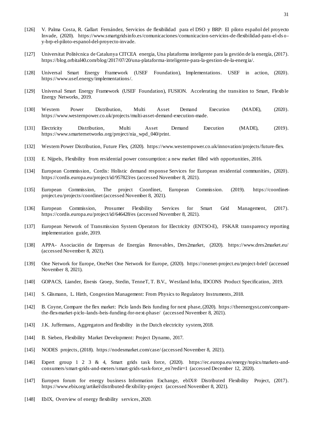- [126] V. Palma Costa, R. Gallart Fernández, Servicios de flexibilidad para el DSO y BRP: El piloto español del proyecto Invade, (2020). https://www.smartgridsinfo.es/comunicaciones/comunicacion-servicios-de-flexibilidad-para-el-dsoy-brp-el-piloto-espanol-del-proyecto-invade.
- [127] Universitat Politècnica de Catalunya CITCEA energia, Una plataforma inteligente para la gestión de la energía, (2017). https://blog.orbital40.com/blog/2017/07/20/una-plataforma-inteligente-para-la-gestion-de-la-energia/.
- [128] Universal Smart Energy Framework (USEF Foundation), Implementations. USEF in action, (2020). https://www.usef.energy/implementations/.
- [129] Universal Smart Energy Framework (USEF Foundation), FUSION. Accelerating the transition to Smart, Flexible Energy Networks, 2019.
- [130] Western Power Distribution, Multi Asset Demand Execution (MADE), (2020). https://www.westernpower.co.uk/projects/multi-asset-demand-execution-made.
- [131] Electricity Distribution, Multi Asset Demand Execution (MADE), (2019). https://www.smarternetworks.org/project/nia\_wpd\_040/print.
- [132] Western Power Distribution, Future Flex, (2020). https://www.westernpower.co.uk/innovation/projects/future-flex.
- [133] E. Nijpels, Flexibility from residential power consumption: a new market filled with opportunities, 2016.
- [134] European Commission, Cordis: Holistic demand response Services for European residential communities, (2020). https://cordis.europa.eu/project/id/957823/es (accessed November 8, 2021).
- [135] European Commission, The project Coordinet, European Commission. (2019). https://coordinetproject.eu/projects/coordinet (accessed November 8, 2021).
- [136] European Commission, Prosumer Flexibility Services for Smart Grid Management, (2017). https://cordis.europa.eu/project/id/646428/es (accessed November 8, 2021).
- [137] European Network of Transmission System Operators for Electricity (ENTSO-E), FSKAR transparency reporting implementation guide, 2019.
- [138] APPA- Asociación de Empresas de Energías Renovables, Dres2market, (2020). https://www.dres2market.eu/ (accessed November 8, 2021).
- [139] One Network for Europe, OneNet One Network for Europe, (2020). https://onenet-project.eu/project-brief/ (accessed November 8, 2021).
- [140] GOPACS, Liander, Enexis Groep, Stedin, TenneT, T. B.V., Westland Infra, IDCONS Product Specification, 2019.
- [141] S. Glismann, L. Hirth, Congestion Management: From Physics to Regulatory Instruments, 2018.
- [142] B. Coyne, Compare the flex market: Piclo lands Beis funding for next phase, (2020). https://theenergyst.com/comparethe-flex-market-piclo-lands-beis-funding-for-next-phase/ (accessed November 8, 2021).
- [143] J.K. Juffermans, Aggregators and flexibility in the Dutch electricity system, 2018.
- [144] B. Sieben, Flexibility Market Development: Project Dynamo, 2017.
- [145] NODES projects, (2018). https://nodesmarket.com/case/ (accessed November 8, 2021).
- [146] Expert group 1 2 3 & 4, Smart grids task force, (2020). https://ec.europa.eu/energy/topics/markets-andconsumers/smart-grids-and-meters/smart-grids-task-force\_en?redir=1 (accessed December 12, 2020).
- [147] Europen forum for energy business Information Exchange, ebIX® Distributed Flexibility Project, (2017). https://www.ebix.org/artikel/distributed-flexibility-project (accessed November 8, 2021).
- [148] EbIX, Overview of energy flexibility services, 2020.